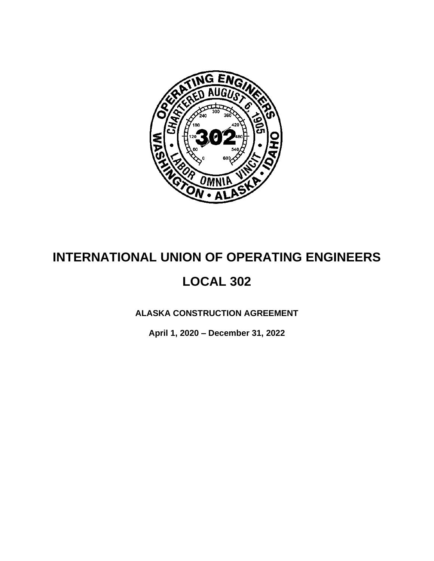

# **INTERNATIONAL UNION OF OPERATING ENGINEERS LOCAL 302**

**ALASKA CONSTRUCTION AGREEMENT**

**April 1, 2020 – December 31, 2022**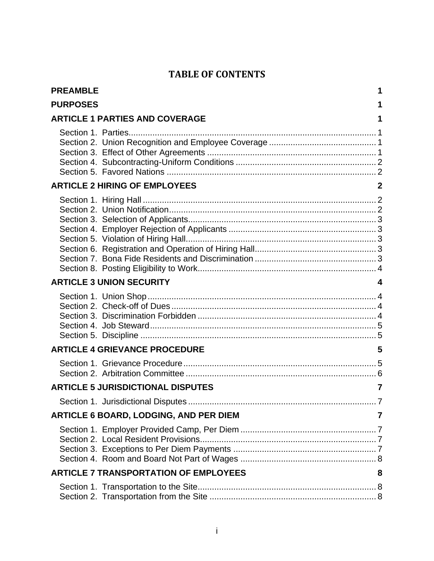## **TABLE OF CONTENTS**

| <b>PREAMBLE</b> |                                              | 1            |
|-----------------|----------------------------------------------|--------------|
| <b>PURPOSES</b> |                                              | 1            |
|                 | <b>ARTICLE 1 PARTIES AND COVERAGE</b>        | 1            |
|                 |                                              |              |
|                 | <b>ARTICLE 2 HIRING OF EMPLOYEES</b>         | $\mathbf{2}$ |
|                 |                                              |              |
|                 | <b>ARTICLE 3 UNION SECURITY</b>              |              |
|                 |                                              |              |
|                 | <b>ARTICLE 4 GRIEVANCE PROCEDURE</b>         | 5            |
|                 |                                              |              |
|                 | <b>ARTICLE 5 JURISDICTIONAL DISPUTES</b>     | 7            |
|                 | $\dots 7$                                    |              |
|                 | ARTICLE 6 BOARD, LODGING, AND PER DIEM       | 7            |
|                 |                                              |              |
|                 | <b>ARTICLE 7 TRANSPORTATION OF EMPLOYEES</b> | 8            |
|                 |                                              |              |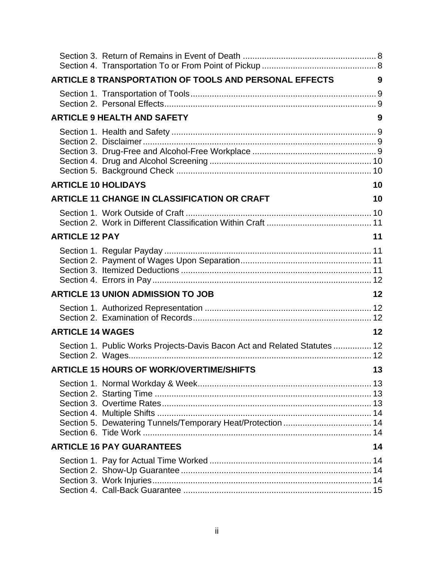|                            | ARTICLE 8 TRANSPORTATION OF TOOLS AND PERSONAL EFFECTS                    | 9  |
|----------------------------|---------------------------------------------------------------------------|----|
|                            |                                                                           |    |
|                            | <b>ARTICLE 9 HEALTH AND SAFETY</b>                                        | 9  |
|                            |                                                                           |    |
| <b>ARTICLE 10 HOLIDAYS</b> |                                                                           | 10 |
|                            | <b>ARTICLE 11 CHANGE IN CLASSIFICATION OR CRAFT</b>                       | 10 |
|                            |                                                                           |    |
| <b>ARTICLE 12 PAY</b>      |                                                                           | 11 |
|                            |                                                                           |    |
|                            | <b>ARTICLE 13 UNION ADMISSION TO JOB</b>                                  | 12 |
|                            |                                                                           |    |
| <b>ARTICLE 14 WAGES</b>    |                                                                           | 12 |
|                            | Section 1. Public Works Projects-Davis Bacon Act and Related Statutes  12 |    |
|                            | <b>ARTICLE 15 HOURS OF WORK/OVERTIME/SHIFTS</b>                           | 13 |
|                            | Section 5. Dewatering Tunnels/Temporary Heat/Protection  14               |    |
|                            | <b>ARTICLE 16 PAY GUARANTEES</b>                                          | 14 |
|                            |                                                                           |    |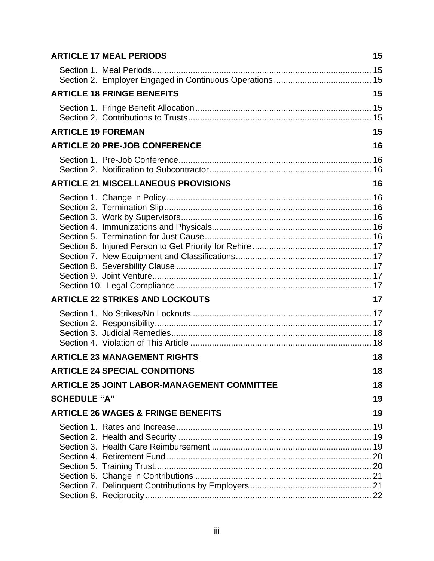|                           | <b>ARTICLE 17 MEAL PERIODS</b>                     | 15 |
|---------------------------|----------------------------------------------------|----|
|                           |                                                    |    |
|                           | <b>ARTICLE 18 FRINGE BENEFITS</b>                  | 15 |
|                           |                                                    |    |
| <b>ARTICLE 19 FOREMAN</b> |                                                    | 15 |
|                           | <b>ARTICLE 20 PRE-JOB CONFERENCE</b>               | 16 |
|                           |                                                    |    |
|                           | <b>ARTICLE 21 MISCELLANEOUS PROVISIONS</b>         | 16 |
|                           |                                                    |    |
|                           | <b>ARTICLE 22 STRIKES AND LOCKOUTS</b>             | 17 |
|                           |                                                    |    |
|                           | <b>ARTICLE 23 MANAGEMENT RIGHTS</b>                | 18 |
|                           | <b>ARTICLE 24 SPECIAL CONDITIONS</b>               | 18 |
|                           | <b>ARTICLE 25 JOINT LABOR-MANAGEMENT COMMITTEE</b> | 18 |
| <b>SCHEDULE "A"</b>       |                                                    | 19 |
|                           | <b>ARTICLE 26 WAGES &amp; FRINGE BENEFITS</b>      | 19 |
|                           |                                                    |    |
|                           |                                                    |    |
|                           |                                                    |    |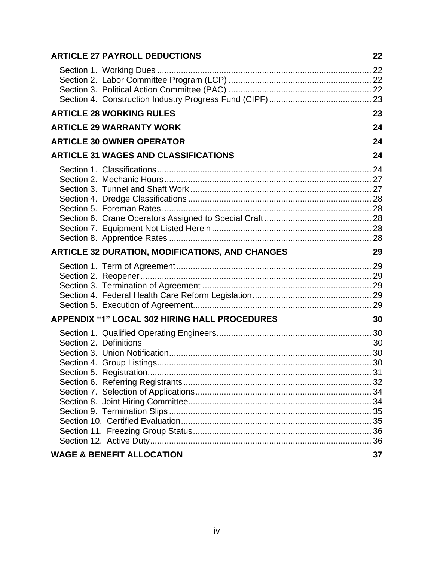|                        | <b>ARTICLE 27 PAYROLL DEDUCTIONS</b>                   | 22 |
|------------------------|--------------------------------------------------------|----|
|                        |                                                        |    |
|                        |                                                        |    |
|                        | <b>ARTICLE 28 WORKING RULES</b>                        | 23 |
|                        | <b>ARTICLE 29 WARRANTY WORK</b>                        | 24 |
|                        | <b>ARTICLE 30 OWNER OPERATOR</b>                       | 24 |
|                        | <b>ARTICLE 31 WAGES AND CLASSIFICATIONS</b>            | 24 |
|                        |                                                        |    |
|                        | <b>ARTICLE 32 DURATION, MODIFICATIONS, AND CHANGES</b> | 29 |
|                        |                                                        |    |
|                        | <b>APPENDIX "1" LOCAL 302 HIRING HALL PROCEDURES</b>   | 30 |
| Section 2. Definitions |                                                        | 30 |
|                        | <b>WAGE &amp; BENEFIT ALLOCATION</b>                   | 37 |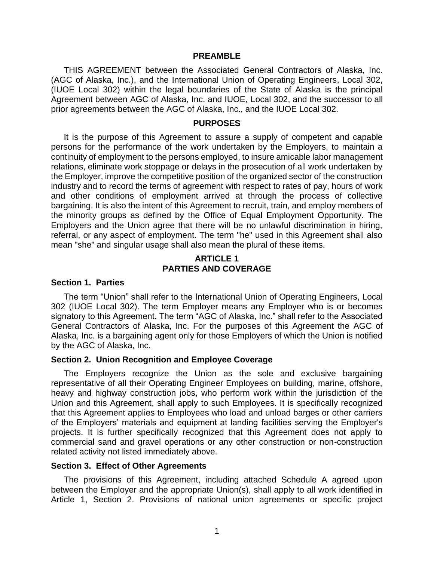#### **PREAMBLE**

<span id="page-5-0"></span>THIS AGREEMENT between the Associated General Contractors of Alaska, Inc. (AGC of Alaska, Inc.), and the International Union of Operating Engineers, Local 302, (IUOE Local 302) within the legal boundaries of the State of Alaska is the principal Agreement between AGC of Alaska, Inc. and IUOE, Local 302, and the successor to all prior agreements between the AGC of Alaska, Inc., and the IUOE Local 302.

#### **PURPOSES**

<span id="page-5-1"></span>It is the purpose of this Agreement to assure a supply of competent and capable persons for the performance of the work undertaken by the Employers, to maintain a continuity of employment to the persons employed, to insure amicable labor management relations, eliminate work stoppage or delays in the prosecution of all work undertaken by the Employer, improve the competitive position of the organized sector of the construction industry and to record the terms of agreement with respect to rates of pay, hours of work and other conditions of employment arrived at through the process of collective bargaining. It is also the intent of this Agreement to recruit, train, and employ members of the minority groups as defined by the Office of Equal Employment Opportunity. The Employers and the Union agree that there will be no unlawful discrimination in hiring, referral, or any aspect of employment. The term "he" used in this Agreement shall also mean "she" and singular usage shall also mean the plural of these items.

## **ARTICLE 1 PARTIES AND COVERAGE**

#### <span id="page-5-3"></span><span id="page-5-2"></span>**Section 1. Parties**

The term "Union" shall refer to the International Union of Operating Engineers, Local 302 (IUOE Local 302). The term Employer means any Employer who is or becomes signatory to this Agreement. The term "AGC of Alaska, Inc." shall refer to the Associated General Contractors of Alaska, Inc. For the purposes of this Agreement the AGC of Alaska, Inc. is a bargaining agent only for those Employers of which the Union is notified by the AGC of Alaska, Inc.

#### <span id="page-5-4"></span>**Section 2. Union Recognition and Employee Coverage**

The Employers recognize the Union as the sole and exclusive bargaining representative of all their Operating Engineer Employees on building, marine, offshore, heavy and highway construction jobs, who perform work within the jurisdiction of the Union and this Agreement, shall apply to such Employees. It is specifically recognized that this Agreement applies to Employees who load and unload barges or other carriers of the Employers' materials and equipment at landing facilities serving the Employer's projects. It is further specifically recognized that this Agreement does not apply to commercial sand and gravel operations or any other construction or non-construction related activity not listed immediately above.

#### <span id="page-5-5"></span>**Section 3. Effect of Other Agreements**

The provisions of this Agreement, including attached Schedule A agreed upon between the Employer and the appropriate Union(s), shall apply to all work identified in Article 1, Section 2. Provisions of national union agreements or specific project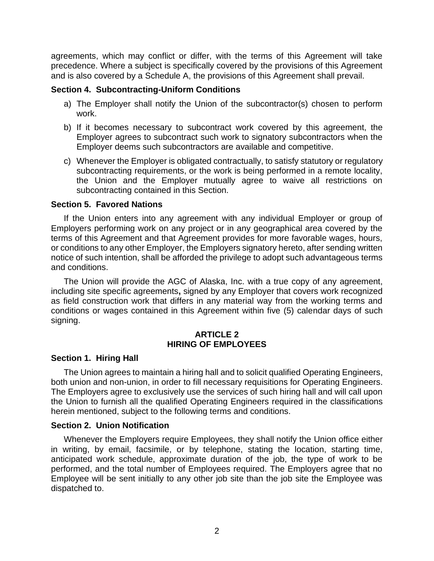agreements, which may conflict or differ, with the terms of this Agreement will take precedence. Where a subject is specifically covered by the provisions of this Agreement and is also covered by a Schedule A, the provisions of this Agreement shall prevail.

#### <span id="page-6-0"></span>**Section 4. Subcontracting-Uniform Conditions**

- a) The Employer shall notify the Union of the subcontractor(s) chosen to perform work.
- b) If it becomes necessary to subcontract work covered by this agreement, the Employer agrees to subcontract such work to signatory subcontractors when the Employer deems such subcontractors are available and competitive.
- c) Whenever the Employer is obligated contractually, to satisfy statutory or regulatory subcontracting requirements, or the work is being performed in a remote locality, the Union and the Employer mutually agree to waive all restrictions on subcontracting contained in this Section.

#### <span id="page-6-1"></span>**Section 5. Favored Nations**

If the Union enters into any agreement with any individual Employer or group of Employers performing work on any project or in any geographical area covered by the terms of this Agreement and that Agreement provides for more favorable wages, hours, or conditions to any other Employer, the Employers signatory hereto, after sending written notice of such intention, shall be afforded the privilege to adopt such advantageous terms and conditions.

The Union will provide the AGC of Alaska, Inc. with a true copy of any agreement, including site specific agreements**,** signed by any Employer that covers work recognized as field construction work that differs in any material way from the working terms and conditions or wages contained in this Agreement within five (5) calendar days of such signing.

#### **ARTICLE 2 HIRING OF EMPLOYEES**

#### <span id="page-6-3"></span><span id="page-6-2"></span>**Section 1. Hiring Hall**

The Union agrees to maintain a hiring hall and to solicit qualified Operating Engineers, both union and non-union, in order to fill necessary requisitions for Operating Engineers. The Employers agree to exclusively use the services of such hiring hall and will call upon the Union to furnish all the qualified Operating Engineers required in the classifications herein mentioned, subject to the following terms and conditions.

#### <span id="page-6-4"></span>**Section 2. Union Notification**

Whenever the Employers require Employees, they shall notify the Union office either in writing, by email, facsimile, or by telephone, stating the location, starting time, anticipated work schedule, approximate duration of the job, the type of work to be performed, and the total number of Employees required. The Employers agree that no Employee will be sent initially to any other job site than the job site the Employee was dispatched to.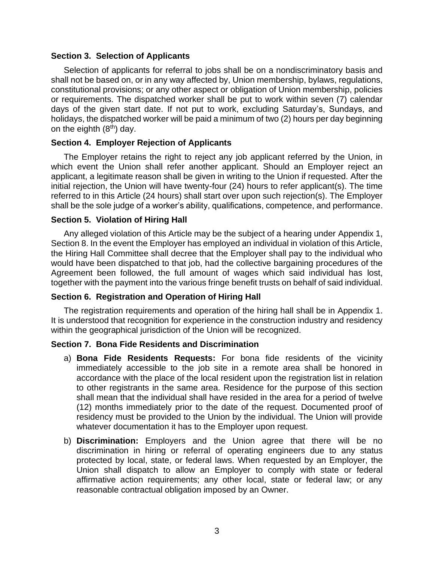#### <span id="page-7-0"></span>**Section 3. Selection of Applicants**

Selection of applicants for referral to jobs shall be on a nondiscriminatory basis and shall not be based on, or in any way affected by, Union membership, bylaws, regulations, constitutional provisions; or any other aspect or obligation of Union membership, policies or requirements. The dispatched worker shall be put to work within seven (7) calendar days of the given start date. If not put to work, excluding Saturday's, Sundays, and holidays, the dispatched worker will be paid a minimum of two (2) hours per day beginning on the eighth  $(8<sup>th</sup>)$  day.

## <span id="page-7-1"></span>**Section 4. Employer Rejection of Applicants**

The Employer retains the right to reject any job applicant referred by the Union, in which event the Union shall refer another applicant. Should an Employer reject an applicant, a legitimate reason shall be given in writing to the Union if requested. After the initial rejection, the Union will have twenty-four (24) hours to refer applicant(s). The time referred to in this Article (24 hours) shall start over upon such rejection(s). The Employer shall be the sole judge of a worker's ability, qualifications, competence, and performance.

#### <span id="page-7-2"></span>**Section 5. Violation of Hiring Hall**

Any alleged violation of this Article may be the subject of a hearing under Appendix 1, Section 8. In the event the Employer has employed an individual in violation of this Article, the Hiring Hall Committee shall decree that the Employer shall pay to the individual who would have been dispatched to that job, had the collective bargaining procedures of the Agreement been followed, the full amount of wages which said individual has lost, together with the payment into the various fringe benefit trusts on behalf of said individual.

## <span id="page-7-3"></span>**Section 6. Registration and Operation of Hiring Hall**

The registration requirements and operation of the hiring hall shall be in Appendix 1. It is understood that recognition for experience in the construction industry and residency within the geographical jurisdiction of the Union will be recognized.

## <span id="page-7-4"></span>**Section 7. Bona Fide Residents and Discrimination**

- a) **Bona Fide Residents Requests:** For bona fide residents of the vicinity immediately accessible to the job site in a remote area shall be honored in accordance with the place of the local resident upon the registration list in relation to other registrants in the same area. Residence for the purpose of this section shall mean that the individual shall have resided in the area for a period of twelve (12) months immediately prior to the date of the request. Documented proof of residency must be provided to the Union by the individual. The Union will provide whatever documentation it has to the Employer upon request.
- b) **Discrimination:** Employers and the Union agree that there will be no discrimination in hiring or referral of operating engineers due to any status protected by local, state, or federal laws. When requested by an Employer, the Union shall dispatch to allow an Employer to comply with state or federal affirmative action requirements; any other local, state or federal law; or any reasonable contractual obligation imposed by an Owner.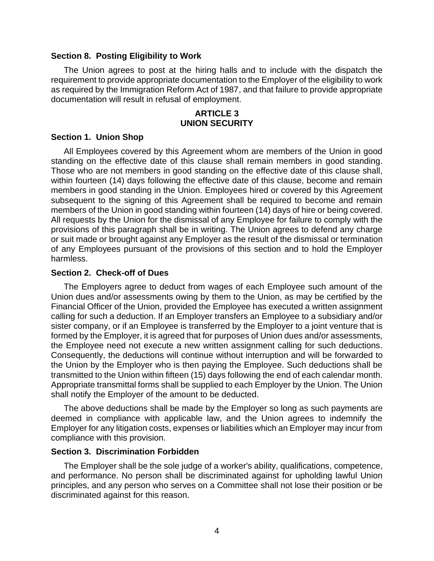#### <span id="page-8-0"></span>**Section 8. Posting Eligibility to Work**

The Union agrees to post at the hiring halls and to include with the dispatch the requirement to provide appropriate documentation to the Employer of the eligibility to work as required by the Immigration Reform Act of 1987, and that failure to provide appropriate documentation will result in refusal of employment.

#### **ARTICLE 3 UNION SECURITY**

#### <span id="page-8-2"></span><span id="page-8-1"></span>**Section 1. Union Shop**

All Employees covered by this Agreement whom are members of the Union in good standing on the effective date of this clause shall remain members in good standing. Those who are not members in good standing on the effective date of this clause shall, within fourteen (14) days following the effective date of this clause, become and remain members in good standing in the Union. Employees hired or covered by this Agreement subsequent to the signing of this Agreement shall be required to become and remain members of the Union in good standing within fourteen (14) days of hire or being covered. All requests by the Union for the dismissal of any Employee for failure to comply with the provisions of this paragraph shall be in writing. The Union agrees to defend any charge or suit made or brought against any Employer as the result of the dismissal or termination of any Employees pursuant of the provisions of this section and to hold the Employer harmless.

#### <span id="page-8-3"></span>**Section 2. Check-off of Dues**

The Employers agree to deduct from wages of each Employee such amount of the Union dues and/or assessments owing by them to the Union, as may be certified by the Financial Officer of the Union, provided the Employee has executed a written assignment calling for such a deduction. If an Employer transfers an Employee to a subsidiary and/or sister company, or if an Employee is transferred by the Employer to a joint venture that is formed by the Employer, it is agreed that for purposes of Union dues and/or assessments, the Employee need not execute a new written assignment calling for such deductions. Consequently, the deductions will continue without interruption and will be forwarded to the Union by the Employer who is then paying the Employee. Such deductions shall be transmitted to the Union within fifteen (15) days following the end of each calendar month. Appropriate transmittal forms shall be supplied to each Employer by the Union. The Union shall notify the Employer of the amount to be deducted.

The above deductions shall be made by the Employer so long as such payments are deemed in compliance with applicable law, and the Union agrees to indemnify the Employer for any litigation costs, expenses or liabilities which an Employer may incur from compliance with this provision.

#### <span id="page-8-4"></span>**Section 3. Discrimination Forbidden**

The Employer shall be the sole judge of a worker's ability, qualifications, competence, and performance. No person shall be discriminated against for upholding lawful Union principles, and any person who serves on a Committee shall not lose their position or be discriminated against for this reason.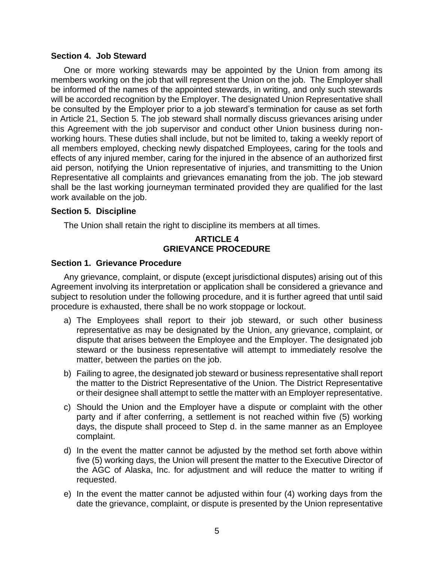#### <span id="page-9-0"></span>**Section 4. Job Steward**

One or more working stewards may be appointed by the Union from among its members working on the job that will represent the Union on the job. The Employer shall be informed of the names of the appointed stewards, in writing, and only such stewards will be accorded recognition by the Employer. The designated Union Representative shall be consulted by the Employer prior to a job steward's termination for cause as set forth in Article 21, Section 5. The job steward shall normally discuss grievances arising under this Agreement with the job supervisor and conduct other Union business during nonworking hours. These duties shall include, but not be limited to, taking a weekly report of all members employed, checking newly dispatched Employees, caring for the tools and effects of any injured member, caring for the injured in the absence of an authorized first aid person, notifying the Union representative of injuries, and transmitting to the Union Representative all complaints and grievances emanating from the job. The job steward shall be the last working journeyman terminated provided they are qualified for the last work available on the job.

#### <span id="page-9-1"></span>**Section 5. Discipline**

<span id="page-9-2"></span>The Union shall retain the right to discipline its members at all times.

## **ARTICLE 4 GRIEVANCE PROCEDURE**

#### <span id="page-9-3"></span>**Section 1. Grievance Procedure**

Any grievance, complaint, or dispute (except jurisdictional disputes) arising out of this Agreement involving its interpretation or application shall be considered a grievance and subject to resolution under the following procedure, and it is further agreed that until said procedure is exhausted, there shall be no work stoppage or lockout.

- a) The Employees shall report to their job steward, or such other business representative as may be designated by the Union, any grievance, complaint, or dispute that arises between the Employee and the Employer. The designated job steward or the business representative will attempt to immediately resolve the matter, between the parties on the job.
- b) Failing to agree, the designated job steward or business representative shall report the matter to the District Representative of the Union. The District Representative or their designee shall attempt to settle the matter with an Employer representative.
- c) Should the Union and the Employer have a dispute or complaint with the other party and if after conferring, a settlement is not reached within five (5) working days, the dispute shall proceed to Step d. in the same manner as an Employee complaint.
- d) In the event the matter cannot be adjusted by the method set forth above within five (5) working days, the Union will present the matter to the Executive Director of the AGC of Alaska, Inc. for adjustment and will reduce the matter to writing if requested.
- e) In the event the matter cannot be adjusted within four (4) working days from the date the grievance, complaint, or dispute is presented by the Union representative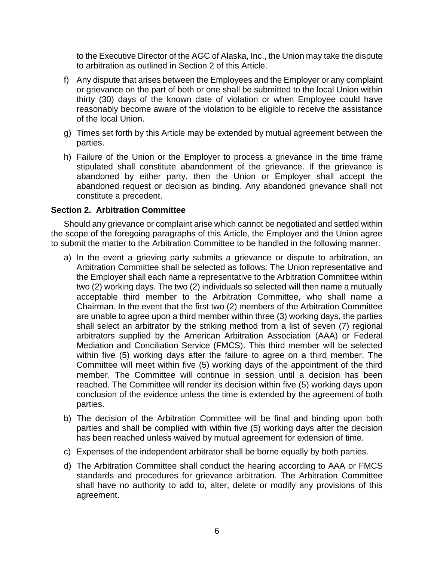to the Executive Director of the AGC of Alaska, Inc., the Union may take the dispute to arbitration as outlined in Section 2 of this Article.

- f) Any dispute that arises between the Employees and the Employer or any complaint or grievance on the part of both or one shall be submitted to the local Union within thirty (30) days of the known date of violation or when Employee could have reasonably become aware of the violation to be eligible to receive the assistance of the local Union.
- g) Times set forth by this Article may be extended by mutual agreement between the parties.
- h) Failure of the Union or the Employer to process a grievance in the time frame stipulated shall constitute abandonment of the grievance. If the grievance is abandoned by either party, then the Union or Employer shall accept the abandoned request or decision as binding. Any abandoned grievance shall not constitute a precedent.

#### <span id="page-10-0"></span>**Section 2. Arbitration Committee**

Should any grievance or complaint arise which cannot be negotiated and settled within the scope of the foregoing paragraphs of this Article, the Employer and the Union agree to submit the matter to the Arbitration Committee to be handled in the following manner:

- a) In the event a grieving party submits a grievance or dispute to arbitration, an Arbitration Committee shall be selected as follows: The Union representative and the Employer shall each name a representative to the Arbitration Committee within two (2) working days. The two (2) individuals so selected will then name a mutually acceptable third member to the Arbitration Committee, who shall name a Chairman. In the event that the first two (2) members of the Arbitration Committee are unable to agree upon a third member within three (3) working days, the parties shall select an arbitrator by the striking method from a list of seven (7) regional arbitrators supplied by the American Arbitration Association (AAA) or Federal Mediation and Conciliation Service (FMCS). This third member will be selected within five (5) working days after the failure to agree on a third member. The Committee will meet within five (5) working days of the appointment of the third member. The Committee will continue in session until a decision has been reached. The Committee will render its decision within five (5) working days upon conclusion of the evidence unless the time is extended by the agreement of both parties.
- b) The decision of the Arbitration Committee will be final and binding upon both parties and shall be complied with within five (5) working days after the decision has been reached unless waived by mutual agreement for extension of time.
- c) Expenses of the independent arbitrator shall be borne equally by both parties.
- d) The Arbitration Committee shall conduct the hearing according to AAA or FMCS standards and procedures for grievance arbitration. The Arbitration Committee shall have no authority to add to, alter, delete or modify any provisions of this agreement.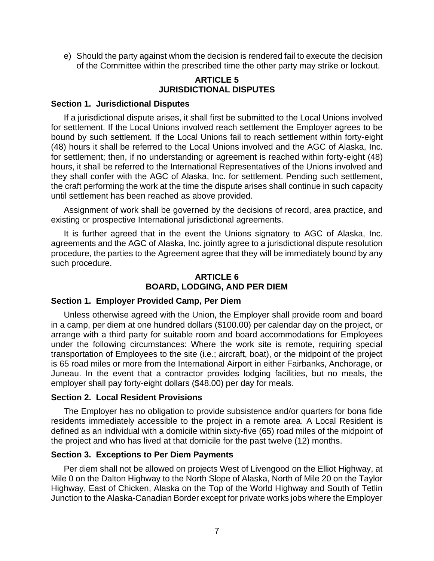e) Should the party against whom the decision is rendered fail to execute the decision of the Committee within the prescribed time the other party may strike or lockout.

## **ARTICLE 5 JURISDICTIONAL DISPUTES**

#### <span id="page-11-1"></span><span id="page-11-0"></span>**Section 1. Jurisdictional Disputes**

If a jurisdictional dispute arises, it shall first be submitted to the Local Unions involved for settlement. If the Local Unions involved reach settlement the Employer agrees to be bound by such settlement. If the Local Unions fail to reach settlement within forty-eight (48) hours it shall be referred to the Local Unions involved and the AGC of Alaska, Inc. for settlement; then, if no understanding or agreement is reached within forty-eight (48) hours, it shall be referred to the International Representatives of the Unions involved and they shall confer with the AGC of Alaska, Inc. for settlement. Pending such settlement, the craft performing the work at the time the dispute arises shall continue in such capacity until settlement has been reached as above provided.

Assignment of work shall be governed by the decisions of record, area practice, and existing or prospective International jurisdictional agreements.

It is further agreed that in the event the Unions signatory to AGC of Alaska, Inc. agreements and the AGC of Alaska, Inc. jointly agree to a jurisdictional dispute resolution procedure, the parties to the Agreement agree that they will be immediately bound by any such procedure.

## **ARTICLE 6 BOARD, LODGING, AND PER DIEM**

#### <span id="page-11-3"></span><span id="page-11-2"></span>**Section 1. Employer Provided Camp, Per Diem**

Unless otherwise agreed with the Union, the Employer shall provide room and board in a camp, per diem at one hundred dollars (\$100.00) per calendar day on the project, or arrange with a third party for suitable room and board accommodations for Employees under the following circumstances: Where the work site is remote, requiring special transportation of Employees to the site (i.e.; aircraft, boat), or the midpoint of the project is 65 road miles or more from the International Airport in either Fairbanks, Anchorage, or Juneau. In the event that a contractor provides lodging facilities, but no meals, the employer shall pay forty-eight dollars (\$48.00) per day for meals.

#### <span id="page-11-4"></span>**Section 2. Local Resident Provisions**

The Employer has no obligation to provide subsistence and/or quarters for bona fide residents immediately accessible to the project in a remote area. A Local Resident is defined as an individual with a domicile within sixty-five (65) road miles of the midpoint of the project and who has lived at that domicile for the past twelve (12) months.

#### <span id="page-11-5"></span>**Section 3. Exceptions to Per Diem Payments**

Per diem shall not be allowed on projects West of Livengood on the Elliot Highway, at Mile 0 on the Dalton Highway to the North Slope of Alaska, North of Mile 20 on the Taylor Highway, East of Chicken, Alaska on the Top of the World Highway and South of Tetlin Junction to the Alaska-Canadian Border except for private works jobs where the Employer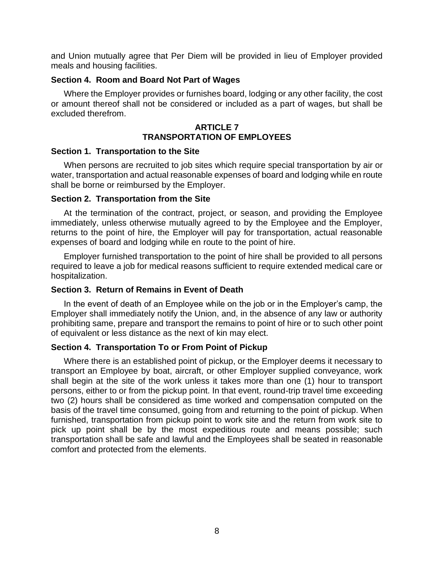and Union mutually agree that Per Diem will be provided in lieu of Employer provided meals and housing facilities.

#### <span id="page-12-0"></span>**Section 4. Room and Board Not Part of Wages**

Where the Employer provides or furnishes board, lodging or any other facility, the cost or amount thereof shall not be considered or included as a part of wages, but shall be excluded therefrom.

## **ARTICLE 7 TRANSPORTATION OF EMPLOYEES**

#### <span id="page-12-2"></span><span id="page-12-1"></span>**Section 1. Transportation to the Site**

When persons are recruited to job sites which require special transportation by air or water, transportation and actual reasonable expenses of board and lodging while en route shall be borne or reimbursed by the Employer.

#### <span id="page-12-3"></span>**Section 2. Transportation from the Site**

At the termination of the contract, project, or season, and providing the Employee immediately, unless otherwise mutually agreed to by the Employee and the Employer, returns to the point of hire, the Employer will pay for transportation, actual reasonable expenses of board and lodging while en route to the point of hire.

Employer furnished transportation to the point of hire shall be provided to all persons required to leave a job for medical reasons sufficient to require extended medical care or hospitalization.

## <span id="page-12-4"></span>**Section 3. Return of Remains in Event of Death**

In the event of death of an Employee while on the job or in the Employer's camp, the Employer shall immediately notify the Union, and, in the absence of any law or authority prohibiting same, prepare and transport the remains to point of hire or to such other point of equivalent or less distance as the next of kin may elect.

## <span id="page-12-5"></span>**Section 4. Transportation To or From Point of Pickup**

Where there is an established point of pickup, or the Employer deems it necessary to transport an Employee by boat, aircraft, or other Employer supplied conveyance, work shall begin at the site of the work unless it takes more than one (1) hour to transport persons, either to or from the pickup point. In that event, round-trip travel time exceeding two (2) hours shall be considered as time worked and compensation computed on the basis of the travel time consumed, going from and returning to the point of pickup. When furnished, transportation from pickup point to work site and the return from work site to pick up point shall be by the most expeditious route and means possible; such transportation shall be safe and lawful and the Employees shall be seated in reasonable comfort and protected from the elements.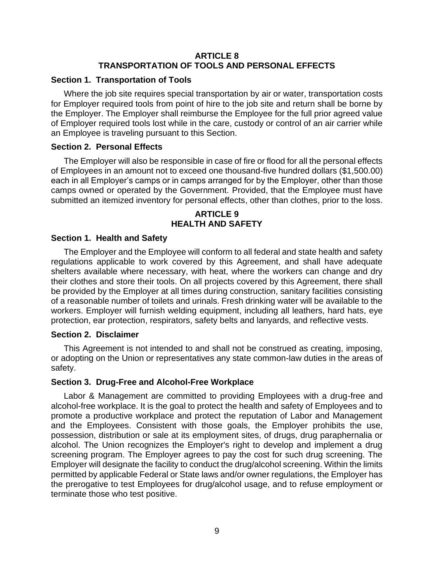## **ARTICLE 8 TRANSPORTATION OF TOOLS AND PERSONAL EFFECTS**

#### <span id="page-13-1"></span><span id="page-13-0"></span>**Section 1. Transportation of Tools**

Where the job site requires special transportation by air or water, transportation costs for Employer required tools from point of hire to the job site and return shall be borne by the Employer. The Employer shall reimburse the Employee for the full prior agreed value of Employer required tools lost while in the care, custody or control of an air carrier while an Employee is traveling pursuant to this Section.

#### <span id="page-13-2"></span>**Section 2. Personal Effects**

The Employer will also be responsible in case of fire or flood for all the personal effects of Employees in an amount not to exceed one thousand-five hundred dollars (\$1,500.00) each in all Employer's camps or in camps arranged for by the Employer, other than those camps owned or operated by the Government. Provided, that the Employee must have submitted an itemized inventory for personal effects, other than clothes, prior to the loss.

## **ARTICLE 9 HEALTH AND SAFETY**

#### <span id="page-13-4"></span><span id="page-13-3"></span>**Section 1. Health and Safety**

The Employer and the Employee will conform to all federal and state health and safety regulations applicable to work covered by this Agreement, and shall have adequate shelters available where necessary, with heat, where the workers can change and dry their clothes and store their tools. On all projects covered by this Agreement, there shall be provided by the Employer at all times during construction, sanitary facilities consisting of a reasonable number of toilets and urinals. Fresh drinking water will be available to the workers. Employer will furnish welding equipment, including all leathers, hard hats, eye protection, ear protection, respirators, safety belts and lanyards, and reflective vests.

#### <span id="page-13-5"></span>**Section 2. Disclaimer**

This Agreement is not intended to and shall not be construed as creating, imposing, or adopting on the Union or representatives any state common-law duties in the areas of safety.

#### <span id="page-13-6"></span>**Section 3. Drug-Free and Alcohol-Free Workplace**

Labor & Management are committed to providing Employees with a drug-free and alcohol-free workplace. It is the goal to protect the health and safety of Employees and to promote a productive workplace and protect the reputation of Labor and Management and the Employees. Consistent with those goals, the Employer prohibits the use, possession, distribution or sale at its employment sites, of drugs, drug paraphernalia or alcohol. The Union recognizes the Employer's right to develop and implement a drug screening program. The Employer agrees to pay the cost for such drug screening. The Employer will designate the facility to conduct the drug/alcohol screening. Within the limits permitted by applicable Federal or State laws and/or owner regulations, the Employer has the prerogative to test Employees for drug/alcohol usage, and to refuse employment or terminate those who test positive.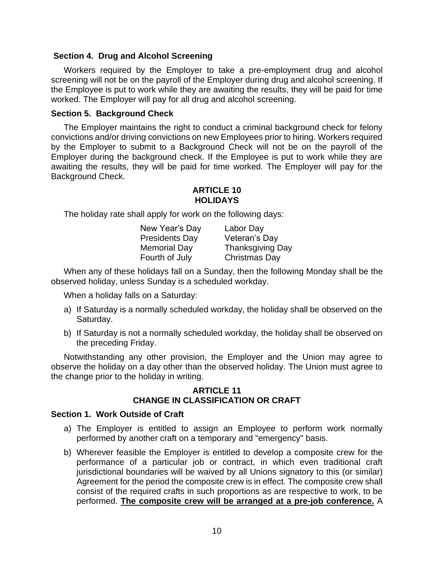#### <span id="page-14-0"></span>**Section 4. Drug and Alcohol Screening**

Workers required by the Employer to take a pre-employment drug and alcohol screening will not be on the payroll of the Employer during drug and alcohol screening. If the Employee is put to work while they are awaiting the results, they will be paid for time worked. The Employer will pay for all drug and alcohol screening.

#### <span id="page-14-1"></span>**Section 5. Background Check**

The Employer maintains the right to conduct a criminal background check for felony convictions and/or driving convictions on new Employees prior to hiring. Workers required by the Employer to submit to a Background Check will not be on the payroll of the Employer during the background check. If the Employee is put to work while they are awaiting the results, they will be paid for time worked. The Employer will pay for the Background Check.

#### **ARTICLE 10 HOLIDAYS**

<span id="page-14-2"></span>The holiday rate shall apply for work on the following days:

| New Year's Day        | Labor Day               |
|-----------------------|-------------------------|
| <b>Presidents Day</b> | Veteran's Day           |
| <b>Memorial Day</b>   | <b>Thanksgiving Day</b> |
| Fourth of July        | <b>Christmas Day</b>    |

When any of these holidays fall on a Sunday, then the following Monday shall be the observed holiday, unless Sunday is a scheduled workday.

When a holiday falls on a Saturday:

- a) If Saturday is a normally scheduled workday, the holiday shall be observed on the Saturday.
- b) If Saturday is not a normally scheduled workday, the holiday shall be observed on the preceding Friday.

Notwithstanding any other provision, the Employer and the Union may agree to observe the holiday on a day other than the observed holiday. The Union must agree to the change prior to the holiday in writing.

#### **ARTICLE 11 CHANGE IN CLASSIFICATION OR CRAFT**

## <span id="page-14-4"></span><span id="page-14-3"></span>**Section 1. Work Outside of Craft**

- a) The Employer is entitled to assign an Employee to perform work normally performed by another craft on a temporary and "emergency" basis.
- b) Wherever feasible the Employer is entitled to develop a composite crew for the performance of a particular job or contract, in which even traditional craft jurisdictional boundaries will be waived by all Unions signatory to this (or similar) Agreement for the period the composite crew is in effect. The composite crew shall consist of the required crafts in such proportions as are respective to work, to be performed. **The composite crew will be arranged at a pre-job conference.** A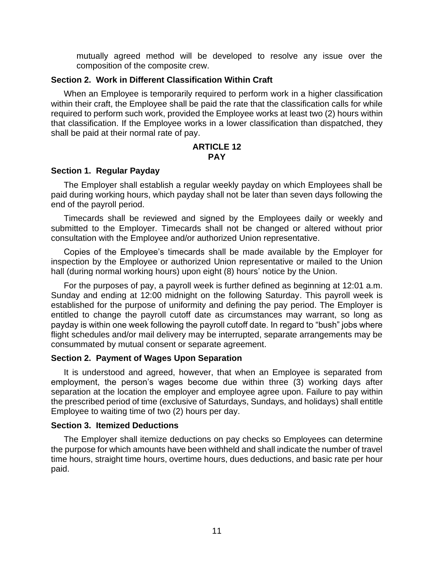mutually agreed method will be developed to resolve any issue over the composition of the composite crew.

#### <span id="page-15-0"></span>**Section 2. Work in Different Classification Within Craft**

When an Employee is temporarily required to perform work in a higher classification within their craft, the Employee shall be paid the rate that the classification calls for while required to perform such work, provided the Employee works at least two (2) hours within that classification. If the Employee works in a lower classification than dispatched, they shall be paid at their normal rate of pay.

#### **ARTICLE 12 PAY**

#### <span id="page-15-2"></span><span id="page-15-1"></span>**Section 1. Regular Payday**

The Employer shall establish a regular weekly payday on which Employees shall be paid during working hours, which payday shall not be later than seven days following the end of the payroll period.

Timecards shall be reviewed and signed by the Employees daily or weekly and submitted to the Employer. Timecards shall not be changed or altered without prior consultation with the Employee and/or authorized Union representative.

Copies of the Employee's timecards shall be made available by the Employer for inspection by the Employee or authorized Union representative or mailed to the Union hall (during normal working hours) upon eight (8) hours' notice by the Union.

For the purposes of pay, a payroll week is further defined as beginning at 12:01 a.m. Sunday and ending at 12:00 midnight on the following Saturday. This payroll week is established for the purpose of uniformity and defining the pay period. The Employer is entitled to change the payroll cutoff date as circumstances may warrant, so long as payday is within one week following the payroll cutoff date. In regard to "bush" jobs where flight schedules and/or mail delivery may be interrupted, separate arrangements may be consummated by mutual consent or separate agreement.

## <span id="page-15-3"></span>**Section 2. Payment of Wages Upon Separation**

It is understood and agreed, however, that when an Employee is separated from employment, the person's wages become due within three (3) working days after separation at the location the employer and employee agree upon. Failure to pay within the prescribed period of time (exclusive of Saturdays, Sundays, and holidays) shall entitle Employee to waiting time of two (2) hours per day.

#### <span id="page-15-4"></span>**Section 3. Itemized Deductions**

The Employer shall itemize deductions on pay checks so Employees can determine the purpose for which amounts have been withheld and shall indicate the number of travel time hours, straight time hours, overtime hours, dues deductions, and basic rate per hour paid.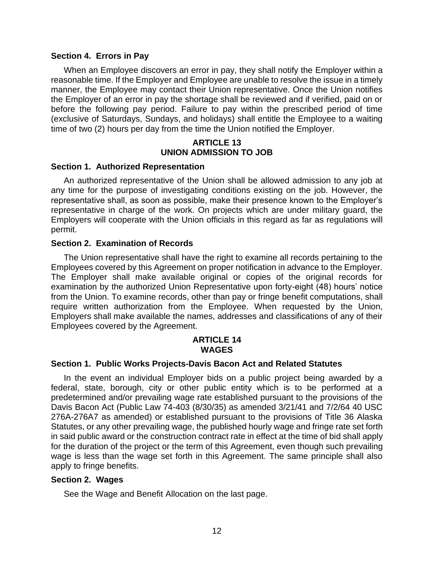#### <span id="page-16-0"></span>**Section 4. Errors in Pay**

When an Employee discovers an error in pay, they shall notify the Employer within a reasonable time. If the Employer and Employee are unable to resolve the issue in a timely manner, the Employee may contact their Union representative. Once the Union notifies the Employer of an error in pay the shortage shall be reviewed and if verified, paid on or before the following pay period. Failure to pay within the prescribed period of time (exclusive of Saturdays, Sundays, and holidays) shall entitle the Employee to a waiting time of two (2) hours per day from the time the Union notified the Employer.

#### **ARTICLE 13 UNION ADMISSION TO JOB**

#### <span id="page-16-2"></span><span id="page-16-1"></span>**Section 1. Authorized Representation**

An authorized representative of the Union shall be allowed admission to any job at any time for the purpose of investigating conditions existing on the job. However, the representative shall, as soon as possible, make their presence known to the Employer's representative in charge of the work. On projects which are under military guard, the Employers will cooperate with the Union officials in this regard as far as regulations will permit.

#### <span id="page-16-3"></span>**Section 2. Examination of Records**

The Union representative shall have the right to examine all records pertaining to the Employees covered by this Agreement on proper notification in advance to the Employer. The Employer shall make available original or copies of the original records for examination by the authorized Union Representative upon forty-eight (48) hours' notice from the Union. To examine records, other than pay or fringe benefit computations, shall require written authorization from the Employee. When requested by the Union, Employers shall make available the names, addresses and classifications of any of their Employees covered by the Agreement.

## **ARTICLE 14 WAGES**

#### <span id="page-16-5"></span><span id="page-16-4"></span>**Section 1. Public Works Projects-Davis Bacon Act and Related Statutes**

In the event an individual Employer bids on a public project being awarded by a federal, state, borough, city or other public entity which is to be performed at a predetermined and/or prevailing wage rate established pursuant to the provisions of the Davis Bacon Act (Public Law 74-403 (8/30/35) as amended 3/21/41 and 7/2/64 40 USC 276A-276A7 as amended) or established pursuant to the provisions of Title 36 Alaska Statutes, or any other prevailing wage, the published hourly wage and fringe rate set forth in said public award or the construction contract rate in effect at the time of bid shall apply for the duration of the project or the term of this Agreement, even though such prevailing wage is less than the wage set forth in this Agreement. The same principle shall also apply to fringe benefits.

#### <span id="page-16-6"></span>**Section 2. Wages**

See the Wage and Benefit Allocation on the last page.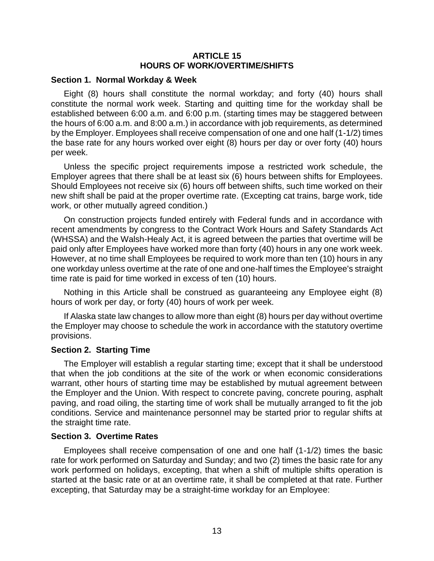#### **ARTICLE 15 HOURS OF WORK/OVERTIME/SHIFTS**

#### <span id="page-17-1"></span><span id="page-17-0"></span>**Section 1. Normal Workday & Week**

Eight (8) hours shall constitute the normal workday; and forty (40) hours shall constitute the normal work week. Starting and quitting time for the workday shall be established between 6:00 a.m. and 6:00 p.m. (starting times may be staggered between the hours of 6:00 a.m. and 8:00 a.m.) in accordance with job requirements, as determined by the Employer. Employees shall receive compensation of one and one half (1-1/2) times the base rate for any hours worked over eight (8) hours per day or over forty (40) hours per week.

Unless the specific project requirements impose a restricted work schedule, the Employer agrees that there shall be at least six (6) hours between shifts for Employees. Should Employees not receive six (6) hours off between shifts, such time worked on their new shift shall be paid at the proper overtime rate. (Excepting cat trains, barge work, tide work, or other mutually agreed condition.)

On construction projects funded entirely with Federal funds and in accordance with recent amendments by congress to the Contract Work Hours and Safety Standards Act (WHSSA) and the Walsh-Healy Act, it is agreed between the parties that overtime will be paid only after Employees have worked more than forty (40) hours in any one work week. However, at no time shall Employees be required to work more than ten (10) hours in any one workday unless overtime at the rate of one and one-half times the Employee's straight time rate is paid for time worked in excess of ten (10) hours.

Nothing in this Article shall be construed as guaranteeing any Employee eight (8) hours of work per day, or forty (40) hours of work per week.

If Alaska state law changes to allow more than eight (8) hours per day without overtime the Employer may choose to schedule the work in accordance with the statutory overtime provisions.

#### <span id="page-17-2"></span>**Section 2. Starting Time**

The Employer will establish a regular starting time; except that it shall be understood that when the job conditions at the site of the work or when economic considerations warrant, other hours of starting time may be established by mutual agreement between the Employer and the Union. With respect to concrete paving, concrete pouring, asphalt paving, and road oiling, the starting time of work shall be mutually arranged to fit the job conditions. Service and maintenance personnel may be started prior to regular shifts at the straight time rate.

#### <span id="page-17-3"></span>**Section 3. Overtime Rates**

Employees shall receive compensation of one and one half (1-1/2) times the basic rate for work performed on Saturday and Sunday; and two (2) times the basic rate for any work performed on holidays, excepting, that when a shift of multiple shifts operation is started at the basic rate or at an overtime rate, it shall be completed at that rate. Further excepting, that Saturday may be a straight-time workday for an Employee: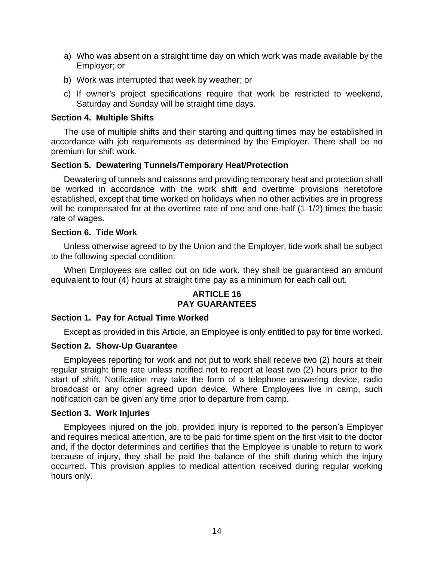- a) Who was absent on a straight time day on which work was made available by the Employer; or
- b) Work was interrupted that week by weather; or
- c) If owner's project specifications require that work be restricted to weekend, Saturday and Sunday will be straight time days.

#### <span id="page-18-0"></span>**Section 4. Multiple Shifts**

The use of multiple shifts and their starting and quitting times may be established in accordance with job requirements as determined by the Employer. There shall be no premium for shift work.

### <span id="page-18-1"></span>**Section 5. Dewatering Tunnels/Temporary Heat/Protection**

Dewatering of tunnels and caissons and providing temporary heat and protection shall be worked in accordance with the work shift and overtime provisions heretofore established, except that time worked on holidays when no other activities are in progress will be compensated for at the overtime rate of one and one-half (1-1/2) times the basic rate of wages.

#### <span id="page-18-2"></span>**Section 6. Tide Work**

Unless otherwise agreed to by the Union and the Employer, tide work shall be subject to the following special condition:

<span id="page-18-3"></span>When Employees are called out on tide work, they shall be guaranteed an amount equivalent to four (4) hours at straight time pay as a minimum for each call out.

## **ARTICLE 16 PAY GUARANTEES**

#### <span id="page-18-4"></span>**Section 1. Pay for Actual Time Worked**

Except as provided in this Article, an Employee is only entitled to pay for time worked.

#### <span id="page-18-5"></span>**Section 2. Show-Up Guarantee**

Employees reporting for work and not put to work shall receive two (2) hours at their regular straight time rate unless notified not to report at least two (2) hours prior to the start of shift. Notification may take the form of a telephone answering device, radio broadcast or any other agreed upon device. Where Employees live in camp, such notification can be given any time prior to departure from camp.

#### <span id="page-18-6"></span>**Section 3. Work Injuries**

Employees injured on the job, provided injury is reported to the person's Employer and requires medical attention, are to be paid for time spent on the first visit to the doctor and, if the doctor determines and certifies that the Employee is unable to return to work because of injury, they shall be paid the balance of the shift during which the injury occurred. This provision applies to medical attention received during regular working hours only.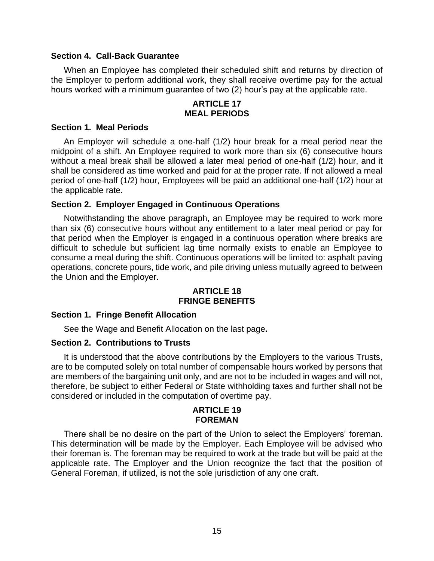#### <span id="page-19-0"></span>**Section 4. Call-Back Guarantee**

When an Employee has completed their scheduled shift and returns by direction of the Employer to perform additional work, they shall receive overtime pay for the actual hours worked with a minimum guarantee of two (2) hour's pay at the applicable rate.

#### **ARTICLE 17 MEAL PERIODS**

#### <span id="page-19-2"></span><span id="page-19-1"></span>**Section 1. Meal Periods**

An Employer will schedule a one-half (1/2) hour break for a meal period near the midpoint of a shift. An Employee required to work more than six (6) consecutive hours without a meal break shall be allowed a later meal period of one-half (1/2) hour, and it shall be considered as time worked and paid for at the proper rate. If not allowed a meal period of one-half (1/2) hour, Employees will be paid an additional one-half (1/2) hour at the applicable rate.

## <span id="page-19-3"></span>**Section 2. Employer Engaged in Continuous Operations**

Notwithstanding the above paragraph, an Employee may be required to work more than six (6) consecutive hours without any entitlement to a later meal period or pay for that period when the Employer is engaged in a continuous operation where breaks are difficult to schedule but sufficient lag time normally exists to enable an Employee to consume a meal during the shift. Continuous operations will be limited to: asphalt paving operations, concrete pours, tide work, and pile driving unless mutually agreed to between the Union and the Employer.

## **ARTICLE 18 FRINGE BENEFITS**

#### <span id="page-19-5"></span><span id="page-19-4"></span>**Section 1. Fringe Benefit Allocation**

See the Wage and Benefit Allocation on the last page**.**

## <span id="page-19-6"></span>**Section 2. Contributions to Trusts**

It is understood that the above contributions by the Employers to the various Trusts, are to be computed solely on total number of compensable hours worked by persons that are members of the bargaining unit only, and are not to be included in wages and will not, therefore, be subject to either Federal or State withholding taxes and further shall not be considered or included in the computation of overtime pay.

#### **ARTICLE 19 FOREMAN**

<span id="page-19-7"></span>There shall be no desire on the part of the Union to select the Employers' foreman. This determination will be made by the Employer. Each Employee will be advised who their foreman is. The foreman may be required to work at the trade but will be paid at the applicable rate. The Employer and the Union recognize the fact that the position of General Foreman, if utilized, is not the sole jurisdiction of any one craft.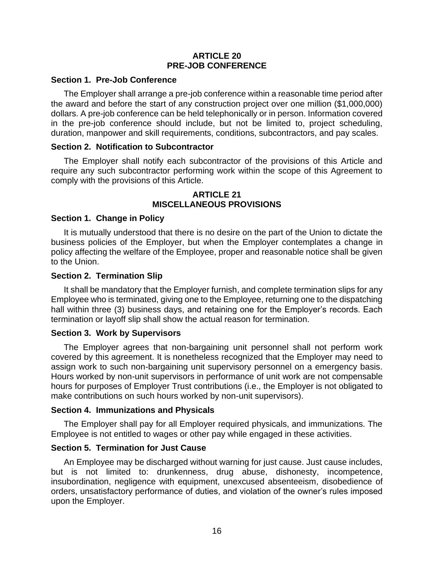#### **ARTICLE 20 PRE-JOB CONFERENCE**

#### <span id="page-20-1"></span><span id="page-20-0"></span>**Section 1. Pre-Job Conference**

The Employer shall arrange a pre-job conference within a reasonable time period after the award and before the start of any construction project over one million (\$1,000,000) dollars. A pre-job conference can be held telephonically or in person. Information covered in the pre-job conference should include, but not be limited to, project scheduling, duration, manpower and skill requirements, conditions, subcontractors, and pay scales.

#### <span id="page-20-2"></span>**Section 2. Notification to Subcontractor**

The Employer shall notify each subcontractor of the provisions of this Article and require any such subcontractor performing work within the scope of this Agreement to comply with the provisions of this Article.

#### **ARTICLE 21 MISCELLANEOUS PROVISIONS**

#### <span id="page-20-4"></span><span id="page-20-3"></span>**Section 1. Change in Policy**

It is mutually understood that there is no desire on the part of the Union to dictate the business policies of the Employer, but when the Employer contemplates a change in policy affecting the welfare of the Employee, proper and reasonable notice shall be given to the Union.

#### <span id="page-20-5"></span>**Section 2. Termination Slip**

It shall be mandatory that the Employer furnish, and complete termination slips for any Employee who is terminated, giving one to the Employee, returning one to the dispatching hall within three (3) business days, and retaining one for the Employer's records. Each termination or layoff slip shall show the actual reason for termination.

#### <span id="page-20-6"></span>**Section 3. Work by Supervisors**

The Employer agrees that non-bargaining unit personnel shall not perform work covered by this agreement. It is nonetheless recognized that the Employer may need to assign work to such non-bargaining unit supervisory personnel on a emergency basis. Hours worked by non-unit supervisors in performance of unit work are not compensable hours for purposes of Employer Trust contributions (i.e., the Employer is not obligated to make contributions on such hours worked by non-unit supervisors).

#### <span id="page-20-7"></span>**Section 4. Immunizations and Physicals**

The Employer shall pay for all Employer required physicals, and immunizations. The Employee is not entitled to wages or other pay while engaged in these activities.

## <span id="page-20-8"></span>**Section 5. Termination for Just Cause**

An Employee may be discharged without warning for just cause. Just cause includes, but is not limited to: drunkenness, drug abuse, dishonesty, incompetence, insubordination, negligence with equipment, unexcused absenteeism, disobedience of orders, unsatisfactory performance of duties, and violation of the owner's rules imposed upon the Employer.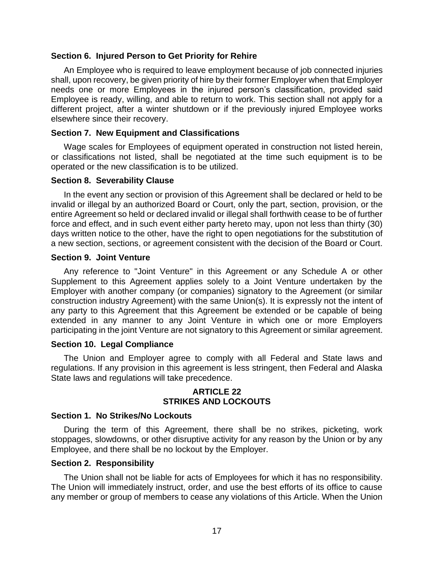#### <span id="page-21-0"></span>**Section 6. Injured Person to Get Priority for Rehire**

An Employee who is required to leave employment because of job connected injuries shall, upon recovery, be given priority of hire by their former Employer when that Employer needs one or more Employees in the injured person's classification, provided said Employee is ready, willing, and able to return to work. This section shall not apply for a different project, after a winter shutdown or if the previously injured Employee works elsewhere since their recovery.

#### <span id="page-21-1"></span>**Section 7. New Equipment and Classifications**

Wage scales for Employees of equipment operated in construction not listed herein, or classifications not listed, shall be negotiated at the time such equipment is to be operated or the new classification is to be utilized.

#### <span id="page-21-2"></span>**Section 8. Severability Clause**

In the event any section or provision of this Agreement shall be declared or held to be invalid or illegal by an authorized Board or Court, only the part, section, provision, or the entire Agreement so held or declared invalid or illegal shall forthwith cease to be of further force and effect, and in such event either party hereto may, upon not less than thirty (30) days written notice to the other, have the right to open negotiations for the substitution of a new section, sections, or agreement consistent with the decision of the Board or Court.

#### <span id="page-21-3"></span>**Section 9. Joint Venture**

Any reference to "Joint Venture" in this Agreement or any Schedule A or other Supplement to this Agreement applies solely to a Joint Venture undertaken by the Employer with another company (or companies) signatory to the Agreement (or similar construction industry Agreement) with the same Union(s). It is expressly not the intent of any party to this Agreement that this Agreement be extended or be capable of being extended in any manner to any Joint Venture in which one or more Employers participating in the joint Venture are not signatory to this Agreement or similar agreement.

#### <span id="page-21-4"></span>**Section 10. Legal Compliance**

The Union and Employer agree to comply with all Federal and State laws and regulations. If any provision in this agreement is less stringent, then Federal and Alaska State laws and regulations will take precedence.

### **ARTICLE 22 STRIKES AND LOCKOUTS**

#### <span id="page-21-6"></span><span id="page-21-5"></span>**Section 1. No Strikes/No Lockouts**

During the term of this Agreement, there shall be no strikes, picketing, work stoppages, slowdowns, or other disruptive activity for any reason by the Union or by any Employee, and there shall be no lockout by the Employer.

#### <span id="page-21-7"></span>**Section 2. Responsibility**

The Union shall not be liable for acts of Employees for which it has no responsibility. The Union will immediately instruct, order, and use the best efforts of its office to cause any member or group of members to cease any violations of this Article. When the Union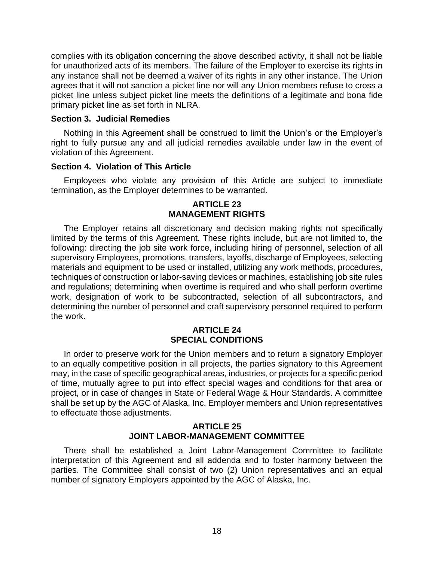complies with its obligation concerning the above described activity, it shall not be liable for unauthorized acts of its members. The failure of the Employer to exercise its rights in any instance shall not be deemed a waiver of its rights in any other instance. The Union agrees that it will not sanction a picket line nor will any Union members refuse to cross a picket line unless subject picket line meets the definitions of a legitimate and bona fide primary picket line as set forth in NLRA.

#### <span id="page-22-0"></span>**Section 3. Judicial Remedies**

Nothing in this Agreement shall be construed to limit the Union's or the Employer's right to fully pursue any and all judicial remedies available under law in the event of violation of this Agreement.

#### <span id="page-22-1"></span>**Section 4. Violation of This Article**

<span id="page-22-2"></span>Employees who violate any provision of this Article are subject to immediate termination, as the Employer determines to be warranted.

#### **ARTICLE 23 MANAGEMENT RIGHTS**

The Employer retains all discretionary and decision making rights not specifically limited by the terms of this Agreement. These rights include, but are not limited to, the following: directing the job site work force, including hiring of personnel, selection of all supervisory Employees, promotions, transfers, layoffs, discharge of Employees, selecting materials and equipment to be used or installed, utilizing any work methods, procedures, techniques of construction or labor-saving devices or machines, establishing job site rules and regulations; determining when overtime is required and who shall perform overtime work, designation of work to be subcontracted, selection of all subcontractors, and determining the number of personnel and craft supervisory personnel required to perform the work.

## **ARTICLE 24 SPECIAL CONDITIONS**

<span id="page-22-3"></span>In order to preserve work for the Union members and to return a signatory Employer to an equally competitive position in all projects, the parties signatory to this Agreement may, in the case of specific geographical areas, industries, or projects for a specific period of time, mutually agree to put into effect special wages and conditions for that area or project, or in case of changes in State or Federal Wage & Hour Standards. A committee shall be set up by the AGC of Alaska, Inc. Employer members and Union representatives to effectuate those adjustments.

#### **ARTICLE 25 JOINT LABOR-MANAGEMENT COMMITTEE**

<span id="page-22-4"></span>There shall be established a Joint Labor-Management Committee to facilitate interpretation of this Agreement and all addenda and to foster harmony between the parties. The Committee shall consist of two (2) Union representatives and an equal number of signatory Employers appointed by the AGC of Alaska, Inc.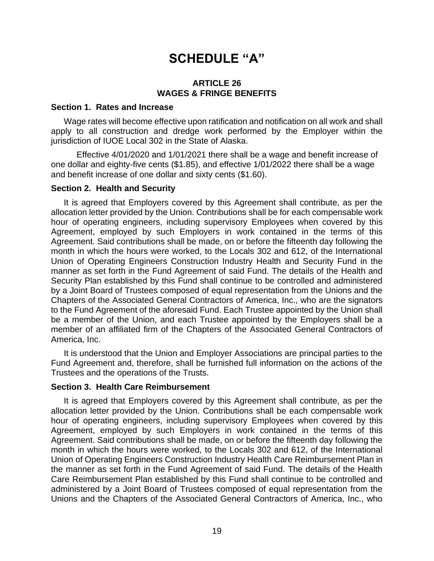## **SCHEDULE "A"**

#### **ARTICLE 26 WAGES & FRINGE BENEFITS**

#### <span id="page-23-2"></span><span id="page-23-1"></span><span id="page-23-0"></span>**Section 1. Rates and Increase**

Wage rates will become effective upon ratification and notification on all work and shall apply to all construction and dredge work performed by the Employer within the jurisdiction of IUOE Local 302 in the State of Alaska.

Effective 4/01/2020 and 1/01/2021 there shall be a wage and benefit increase of one dollar and eighty-five cents (\$1.85), and effective 1/01/2022 there shall be a wage and benefit increase of one dollar and sixty cents (\$1.60).

#### <span id="page-23-3"></span>**Section 2. Health and Security**

It is agreed that Employers covered by this Agreement shall contribute, as per the allocation letter provided by the Union. Contributions shall be for each compensable work hour of operating engineers, including supervisory Employees when covered by this Agreement, employed by such Employers in work contained in the terms of this Agreement. Said contributions shall be made, on or before the fifteenth day following the month in which the hours were worked, to the Locals 302 and 612, of the International Union of Operating Engineers Construction Industry Health and Security Fund in the manner as set forth in the Fund Agreement of said Fund. The details of the Health and Security Plan established by this Fund shall continue to be controlled and administered by a Joint Board of Trustees composed of equal representation from the Unions and the Chapters of the Associated General Contractors of America, Inc., who are the signators to the Fund Agreement of the aforesaid Fund. Each Trustee appointed by the Union shall be a member of the Union, and each Trustee appointed by the Employers shall be a member of an affiliated firm of the Chapters of the Associated General Contractors of America, Inc.

It is understood that the Union and Employer Associations are principal parties to the Fund Agreement and, therefore, shall be furnished full information on the actions of the Trustees and the operations of the Trusts.

#### <span id="page-23-4"></span>**Section 3. Health Care Reimbursement**

It is agreed that Employers covered by this Agreement shall contribute, as per the allocation letter provided by the Union. Contributions shall be each compensable work hour of operating engineers, including supervisory Employees when covered by this Agreement, employed by such Employers in work contained in the terms of this Agreement. Said contributions shall be made, on or before the fifteenth day following the month in which the hours were worked, to the Locals 302 and 612, of the International Union of Operating Engineers Construction Industry Health Care Reimbursement Plan in the manner as set forth in the Fund Agreement of said Fund. The details of the Health Care Reimbursement Plan established by this Fund shall continue to be controlled and administered by a Joint Board of Trustees composed of equal representation from the Unions and the Chapters of the Associated General Contractors of America, Inc., who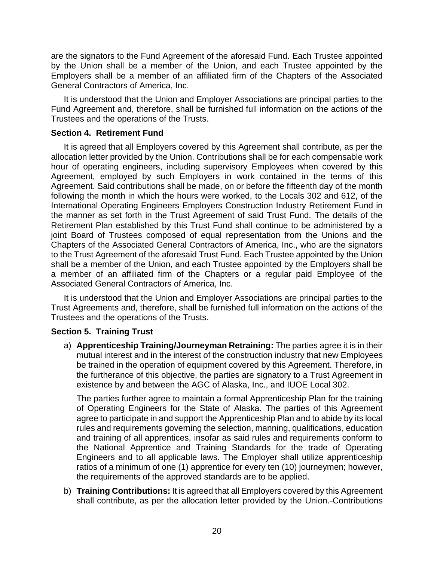are the signators to the Fund Agreement of the aforesaid Fund. Each Trustee appointed by the Union shall be a member of the Union, and each Trustee appointed by the Employers shall be a member of an affiliated firm of the Chapters of the Associated General Contractors of America, Inc.

It is understood that the Union and Employer Associations are principal parties to the Fund Agreement and, therefore, shall be furnished full information on the actions of the Trustees and the operations of the Trusts.

## <span id="page-24-0"></span>**Section 4. Retirement Fund**

It is agreed that all Employers covered by this Agreement shall contribute, as per the allocation letter provided by the Union. Contributions shall be for each compensable work hour of operating engineers, including supervisory Employees when covered by this Agreement, employed by such Employers in work contained in the terms of this Agreement. Said contributions shall be made, on or before the fifteenth day of the month following the month in which the hours were worked, to the Locals 302 and 612, of the International Operating Engineers Employers Construction Industry Retirement Fund in the manner as set forth in the Trust Agreement of said Trust Fund. The details of the Retirement Plan established by this Trust Fund shall continue to be administered by a joint Board of Trustees composed of equal representation from the Unions and the Chapters of the Associated General Contractors of America, Inc., who are the signators to the Trust Agreement of the aforesaid Trust Fund. Each Trustee appointed by the Union shall be a member of the Union, and each Trustee appointed by the Employers shall be a member of an affiliated firm of the Chapters or a regular paid Employee of the Associated General Contractors of America, Inc.

It is understood that the Union and Employer Associations are principal parties to the Trust Agreements and, therefore, shall be furnished full information on the actions of the Trustees and the operations of the Trusts.

## <span id="page-24-1"></span>**Section 5. Training Trust**

a) **Apprenticeship Training/Journeyman Retraining:** The parties agree it is in their mutual interest and in the interest of the construction industry that new Employees be trained in the operation of equipment covered by this Agreement. Therefore, in the furtherance of this objective, the parties are signatory to a Trust Agreement in existence by and between the AGC of Alaska, Inc., and IUOE Local 302.

The parties further agree to maintain a formal Apprenticeship Plan for the training of Operating Engineers for the State of Alaska. The parties of this Agreement agree to participate in and support the Apprenticeship Plan and to abide by its local rules and requirements governing the selection, manning, qualifications, education and training of all apprentices, insofar as said rules and requirements conform to the National Apprentice and Training Standards for the trade of Operating Engineers and to all applicable laws. The Employer shall utilize apprenticeship ratios of a minimum of one (1) apprentice for every ten (10) journeymen; however, the requirements of the approved standards are to be applied.

b) **Training Contributions:** It is agreed that all Employers covered by this Agreement shall contribute, as per the allocation letter provided by the Union. Contributions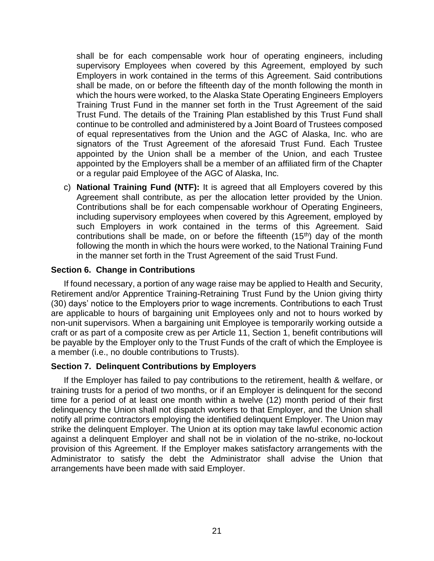shall be for each compensable work hour of operating engineers, including supervisory Employees when covered by this Agreement, employed by such Employers in work contained in the terms of this Agreement. Said contributions shall be made, on or before the fifteenth day of the month following the month in which the hours were worked, to the Alaska State Operating Engineers Employers Training Trust Fund in the manner set forth in the Trust Agreement of the said Trust Fund. The details of the Training Plan established by this Trust Fund shall continue to be controlled and administered by a Joint Board of Trustees composed of equal representatives from the Union and the AGC of Alaska, Inc. who are signators of the Trust Agreement of the aforesaid Trust Fund. Each Trustee appointed by the Union shall be a member of the Union, and each Trustee appointed by the Employers shall be a member of an affiliated firm of the Chapter or a regular paid Employee of the AGC of Alaska, Inc.

c) **National Training Fund (NTF):** It is agreed that all Employers covered by this Agreement shall contribute, as per the allocation letter provided by the Union. Contributions shall be for each compensable workhour of Operating Engineers, including supervisory employees when covered by this Agreement, employed by such Employers in work contained in the terms of this Agreement. Said contributions shall be made, on or before the fifteenth  $(15<sup>th</sup>)$  day of the month following the month in which the hours were worked, to the National Training Fund in the manner set forth in the Trust Agreement of the said Trust Fund.

## <span id="page-25-0"></span>**Section 6. Change in Contributions**

If found necessary, a portion of any wage raise may be applied to Health and Security, Retirement and/or Apprentice Training-Retraining Trust Fund by the Union giving thirty (30) days' notice to the Employers prior to wage increments. Contributions to each Trust are applicable to hours of bargaining unit Employees only and not to hours worked by non-unit supervisors. When a bargaining unit Employee is temporarily working outside a craft or as part of a composite crew as per Article 11, Section 1, benefit contributions will be payable by the Employer only to the Trust Funds of the craft of which the Employee is a member (i.e., no double contributions to Trusts).

## <span id="page-25-1"></span>**Section 7. Delinquent Contributions by Employers**

If the Employer has failed to pay contributions to the retirement, health & welfare, or training trusts for a period of two months, or if an Employer is delinquent for the second time for a period of at least one month within a twelve (12) month period of their first delinquency the Union shall not dispatch workers to that Employer, and the Union shall notify all prime contractors employing the identified delinquent Employer. The Union may strike the delinquent Employer. The Union at its option may take lawful economic action against a delinquent Employer and shall not be in violation of the no-strike, no-lockout provision of this Agreement. If the Employer makes satisfactory arrangements with the Administrator to satisfy the debt the Administrator shall advise the Union that arrangements have been made with said Employer.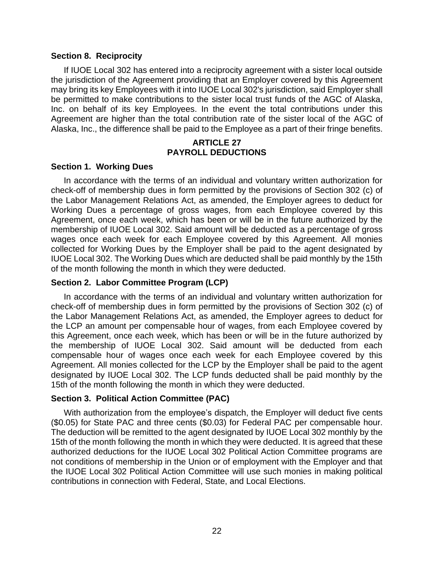#### <span id="page-26-0"></span>**Section 8. Reciprocity**

If IUOE Local 302 has entered into a reciprocity agreement with a sister local outside the jurisdiction of the Agreement providing that an Employer covered by this Agreement may bring its key Employees with it into IUOE Local 302's jurisdiction, said Employer shall be permitted to make contributions to the sister local trust funds of the AGC of Alaska, Inc. on behalf of its key Employees. In the event the total contributions under this Agreement are higher than the total contribution rate of the sister local of the AGC of Alaska, Inc., the difference shall be paid to the Employee as a part of their fringe benefits.

## **ARTICLE 27 PAYROLL DEDUCTIONS**

## <span id="page-26-2"></span><span id="page-26-1"></span>**Section 1. Working Dues**

In accordance with the terms of an individual and voluntary written authorization for check-off of membership dues in form permitted by the provisions of Section 302 (c) of the Labor Management Relations Act, as amended, the Employer agrees to deduct for Working Dues a percentage of gross wages, from each Employee covered by this Agreement, once each week, which has been or will be in the future authorized by the membership of IUOE Local 302. Said amount will be deducted as a percentage of gross wages once each week for each Employee covered by this Agreement. All monies collected for Working Dues by the Employer shall be paid to the agent designated by IUOE Local 302. The Working Dues which are deducted shall be paid monthly by the 15th of the month following the month in which they were deducted.

## <span id="page-26-3"></span>**Section 2. Labor Committee Program (LCP)**

In accordance with the terms of an individual and voluntary written authorization for check-off of membership dues in form permitted by the provisions of Section 302 (c) of the Labor Management Relations Act, as amended, the Employer agrees to deduct for the LCP an amount per compensable hour of wages, from each Employee covered by this Agreement, once each week, which has been or will be in the future authorized by the membership of IUOE Local 302. Said amount will be deducted from each compensable hour of wages once each week for each Employee covered by this Agreement. All monies collected for the LCP by the Employer shall be paid to the agent designated by IUOE Local 302. The LCP funds deducted shall be paid monthly by the 15th of the month following the month in which they were deducted.

## <span id="page-26-4"></span>**Section 3. Political Action Committee (PAC)**

With authorization from the employee's dispatch, the Employer will deduct five cents (\$0.05) for State PAC and three cents (\$0.03) for Federal PAC per compensable hour. The deduction will be remitted to the agent designated by IUOE Local 302 monthly by the 15th of the month following the month in which they were deducted. It is agreed that these authorized deductions for the IUOE Local 302 Political Action Committee programs are not conditions of membership in the Union or of employment with the Employer and that the IUOE Local 302 Political Action Committee will use such monies in making political contributions in connection with Federal, State, and Local Elections.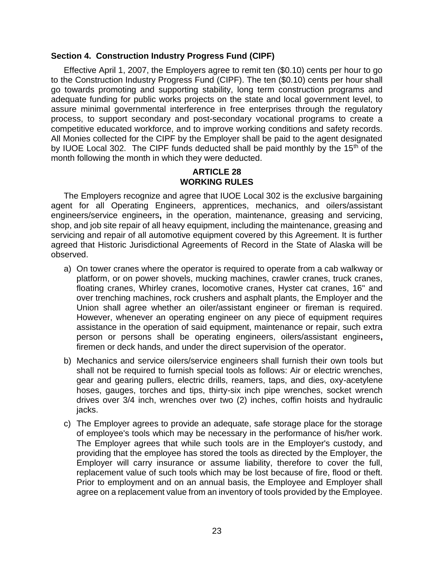#### <span id="page-27-0"></span>**Section 4. Construction Industry Progress Fund (CIPF)**

Effective April 1, 2007, the Employers agree to remit ten (\$0.10) cents per hour to go to the Construction Industry Progress Fund (CIPF). The ten (\$0.10) cents per hour shall go towards promoting and supporting stability, long term construction programs and adequate funding for public works projects on the state and local government level, to assure minimal governmental interference in free enterprises through the regulatory process, to support secondary and post-secondary vocational programs to create a competitive educated workforce, and to improve working conditions and safety records. All Monies collected for the CIPF by the Employer shall be paid to the agent designated by IUOE Local 302. The CIPF funds deducted shall be paid monthly by the 15<sup>th</sup> of the month following the month in which they were deducted.

## **ARTICLE 28 WORKING RULES**

<span id="page-27-1"></span>The Employers recognize and agree that IUOE Local 302 is the exclusive bargaining agent for all Operating Engineers, apprentices, mechanics, and oilers/assistant engineers/service engineers**,** in the operation, maintenance, greasing and servicing, shop, and job site repair of all heavy equipment, including the maintenance, greasing and servicing and repair of all automotive equipment covered by this Agreement. It is further agreed that Historic Jurisdictional Agreements of Record in the State of Alaska will be observed.

- a) On tower cranes where the operator is required to operate from a cab walkway or platform, or on power shovels, mucking machines, crawler cranes, truck cranes, floating cranes, Whirley cranes, locomotive cranes, Hyster cat cranes, 16" and over trenching machines, rock crushers and asphalt plants, the Employer and the Union shall agree whether an oiler/assistant engineer or fireman is required. However, whenever an operating engineer on any piece of equipment requires assistance in the operation of said equipment, maintenance or repair, such extra person or persons shall be operating engineers, oilers/assistant engineers**,** firemen or deck hands, and under the direct supervision of the operator.
- b) Mechanics and service oilers/service engineers shall furnish their own tools but shall not be required to furnish special tools as follows: Air or electric wrenches, gear and gearing pullers, electric drills, reamers, taps, and dies, oxy-acetylene hoses, gauges, torches and tips, thirty-six inch pipe wrenches, socket wrench drives over 3/4 inch, wrenches over two (2) inches, coffin hoists and hydraulic jacks.
- c) The Employer agrees to provide an adequate, safe storage place for the storage of employee's tools which may be necessary in the performance of his/her work. The Employer agrees that while such tools are in the Employer's custody, and providing that the employee has stored the tools as directed by the Employer, the Employer will carry insurance or assume liability, therefore to cover the full, replacement value of such tools which may be lost because of fire, flood or theft. Prior to employment and on an annual basis, the Employee and Employer shall agree on a replacement value from an inventory of tools provided by the Employee.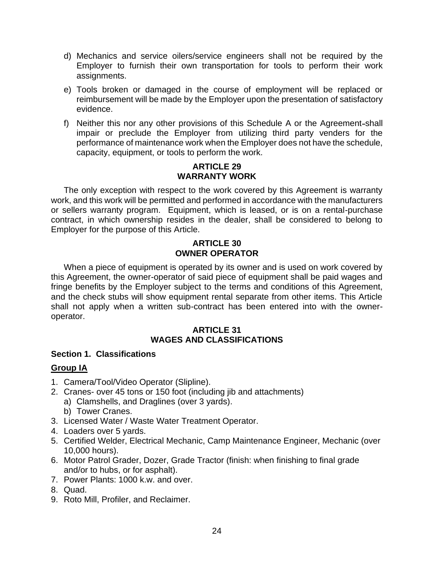- d) Mechanics and service oilers/service engineers shall not be required by the Employer to furnish their own transportation for tools to perform their work assignments.
- e) Tools broken or damaged in the course of employment will be replaced or reimbursement will be made by the Employer upon the presentation of satisfactory evidence.
- f) Neither this nor any other provisions of this Schedule A or the Agreement-shall impair or preclude the Employer from utilizing third party venders for the performance of maintenance work when the Employer does not have the schedule, capacity, equipment, or tools to perform the work.

## **ARTICLE 29 WARRANTY WORK**

<span id="page-28-0"></span>The only exception with respect to the work covered by this Agreement is warranty work, and this work will be permitted and performed in accordance with the manufacturers or sellers warranty program. Equipment, which is leased, or is on a rental-purchase contract, in which ownership resides in the dealer, shall be considered to belong to Employer for the purpose of this Article.

## **ARTICLE 30 OWNER OPERATOR**

<span id="page-28-1"></span>When a piece of equipment is operated by its owner and is used on work covered by this Agreement, the owner-operator of said piece of equipment shall be paid wages and fringe benefits by the Employer subject to the terms and conditions of this Agreement, and the check stubs will show equipment rental separate from other items. This Article shall not apply when a written sub-contract has been entered into with the owneroperator.

## **ARTICLE 31 WAGES AND CLASSIFICATIONS**

## <span id="page-28-3"></span><span id="page-28-2"></span>**Section 1. Classifications**

## **Group IA**

- 1. Camera/Tool/Video Operator (Slipline).
- 2. Cranes- over 45 tons or 150 foot (including jib and attachments)
	- a) Clamshells, and Draglines (over 3 yards).
	- b) Tower Cranes.
- 3. Licensed Water / Waste Water Treatment Operator.
- 4. Loaders over 5 yards.
- 5. Certified Welder, Electrical Mechanic, Camp Maintenance Engineer, Mechanic (over 10,000 hours).
- 6. Motor Patrol Grader, Dozer, Grade Tractor (finish: when finishing to final grade and/or to hubs, or for asphalt).
- 7. Power Plants: 1000 k.w. and over.
- 8. Quad.
- 9. Roto Mill, Profiler, and Reclaimer.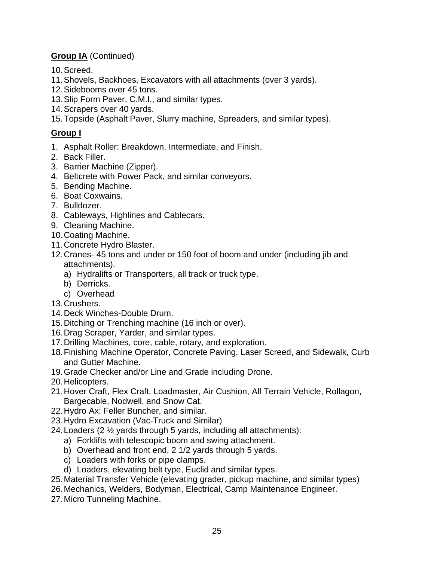## **Group IA** (Continued)

- 10.Screed.
- 11.Shovels, Backhoes, Excavators with all attachments (over 3 yards).
- 12.Sidebooms over 45 tons.
- 13.Slip Form Paver, C.M.I., and similar types.
- 14.Scrapers over 40 yards.
- 15.Topside (Asphalt Paver, Slurry machine, Spreaders, and similar types).

## **Group I**

- 1. Asphalt Roller: Breakdown, Intermediate, and Finish.
- 2. Back Filler.
- 3. Barrier Machine (Zipper).
- 4. Beltcrete with Power Pack, and similar conveyors.
- 5. Bending Machine.
- 6. Boat Coxwains.
- 7. Bulldozer.
- 8. Cableways, Highlines and Cablecars.
- 9. Cleaning Machine.
- 10.Coating Machine.
- 11.Concrete Hydro Blaster.
- 12.Cranes- 45 tons and under or 150 foot of boom and under (including jib and attachments).
	- a) Hydralifts or Transporters, all track or truck type.
	- b) Derricks.
	- c) Overhead
- 13.Crushers.
- 14.Deck Winches-Double Drum.
- 15.Ditching or Trenching machine (16 inch or over).
- 16.Drag Scraper, Yarder, and similar types.
- 17.Drilling Machines, core, cable, rotary, and exploration.
- 18.Finishing Machine Operator, Concrete Paving, Laser Screed, and Sidewalk, Curb and Gutter Machine.
- 19.Grade Checker and/or Line and Grade including Drone.
- 20.Helicopters.
- 21.Hover Craft, Flex Craft, Loadmaster, Air Cushion, All Terrain Vehicle, Rollagon, Bargecable, Nodwell, and Snow Cat.
- 22.Hydro Ax: Feller Buncher, and similar.
- 23.Hydro Excavation (Vac-Truck and Similar)
- 24.Loaders (2 ½ yards through 5 yards, including all attachments):
	- a) Forklifts with telescopic boom and swing attachment.
		- b) Overhead and front end, 2 1/2 yards through 5 yards.
		- c) Loaders with forks or pipe clamps.
		- d) Loaders, elevating belt type, Euclid and similar types.
- 25.Material Transfer Vehicle (elevating grader, pickup machine, and similar types)
- 26.Mechanics, Welders, Bodyman, Electrical, Camp Maintenance Engineer.
- 27.Micro Tunneling Machine.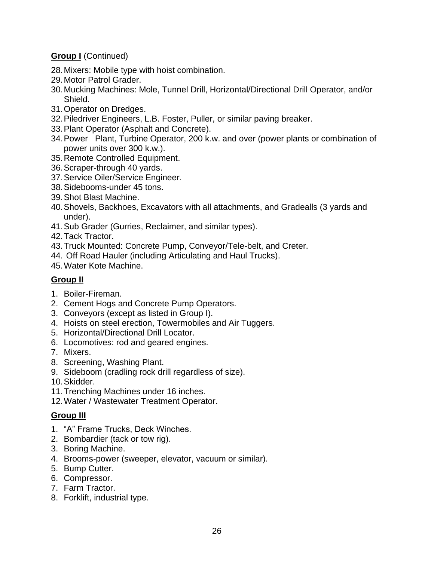## **Group I** (Continued)

- 28.Mixers: Mobile type with hoist combination.
- 29.Motor Patrol Grader.
- 30.Mucking Machines: Mole, Tunnel Drill, Horizontal/Directional Drill Operator, and/or Shield.
- 31.Operator on Dredges.
- 32.Piledriver Engineers, L.B. Foster, Puller, or similar paving breaker.
- 33.Plant Operator (Asphalt and Concrete).
- 34.Power Plant, Turbine Operator, 200 k.w. and over (power plants or combination of power units over 300 k.w.).
- 35.Remote Controlled Equipment.
- 36.Scraper-through 40 yards.
- 37.Service Oiler/Service Engineer.
- 38.Sidebooms-under 45 tons.
- 39.Shot Blast Machine.
- 40.Shovels, Backhoes, Excavators with all attachments, and Gradealls (3 yards and under).
- 41.Sub Grader (Gurries, Reclaimer, and similar types).
- 42.Tack Tractor.
- 43.Truck Mounted: Concrete Pump, Conveyor/Tele-belt, and Creter.
- 44. Off Road Hauler (including Articulating and Haul Trucks).
- 45.Water Kote Machine.

## **Group II**

- 1. Boiler-Fireman.
- 2. Cement Hogs and Concrete Pump Operators.
- 3. Conveyors (except as listed in Group I).
- 4. Hoists on steel erection, Towermobiles and Air Tuggers.
- 5. Horizontal/Directional Drill Locator.
- 6. Locomotives: rod and geared engines.
- 7. Mixers.
- 8. Screening, Washing Plant.
- 9. Sideboom (cradling rock drill regardless of size).
- 10.Skidder.
- 11.Trenching Machines under 16 inches.
- 12.Water / Wastewater Treatment Operator.

## **Group III**

- 1. "A" Frame Trucks, Deck Winches.
- 2. Bombardier (tack or tow rig).
- 3. Boring Machine.
- 4. Brooms-power (sweeper, elevator, vacuum or similar).
- 5. Bump Cutter.
- 6. Compressor.
- 7. Farm Tractor.
- 8. Forklift, industrial type.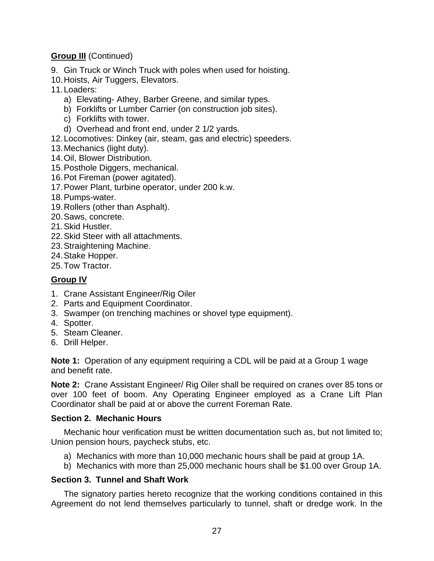## **Group III** (Continued)

- 9. Gin Truck or Winch Truck with poles when used for hoisting.
- 10.Hoists, Air Tuggers, Elevators.
- 11.Loaders:
	- a) Elevating- Athey, Barber Greene, and similar types.
	- b) Forklifts or Lumber Carrier (on construction job sites).
	- c) Forklifts with tower.
	- d) Overhead and front end, under 2 1/2 yards.
- 12.Locomotives: Dinkey (air, steam, gas and electric) speeders.
- 13.Mechanics (light duty).
- 14.Oil, Blower Distribution.
- 15.Posthole Diggers, mechanical.
- 16.Pot Fireman (power agitated).
- 17.Power Plant, turbine operator, under 200 k.w.
- 18.Pumps-water.
- 19.Rollers (other than Asphalt).
- 20.Saws, concrete.
- 21.Skid Hustler.
- 22.Skid Steer with all attachments.
- 23.Straightening Machine.
- 24.Stake Hopper.
- 25.Tow Tractor.

## **Group IV**

- 1. Crane Assistant Engineer/Rig Oiler
- 2. Parts and Equipment Coordinator.
- 3. Swamper (on trenching machines or shovel type equipment).
- 4. Spotter.
- 5. Steam Cleaner.
- 6. Drill Helper.

**Note 1:** Operation of any equipment requiring a CDL will be paid at a Group 1 wage and benefit rate.

**Note 2:** Crane Assistant Engineer/ Rig Oiler shall be required on cranes over 85 tons or over 100 feet of boom. Any Operating Engineer employed as a Crane Lift Plan Coordinator shall be paid at or above the current Foreman Rate.

## **Section 2. Mechanic Hours**

Mechanic hour verification must be written documentation such as, but not limited to; Union pension hours, paycheck stubs, etc.

- a) Mechanics with more than 10,000 mechanic hours shall be paid at group 1A.
- b) Mechanics with more than 25,000 mechanic hours shall be \$1.00 over Group 1A.

## <span id="page-31-0"></span>**Section 3. Tunnel and Shaft Work**

The signatory parties hereto recognize that the working conditions contained in this Agreement do not lend themselves particularly to tunnel, shaft or dredge work. In the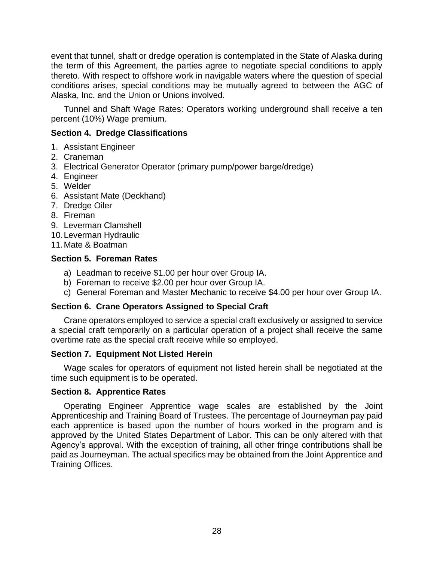event that tunnel, shaft or dredge operation is contemplated in the State of Alaska during the term of this Agreement, the parties agree to negotiate special conditions to apply thereto. With respect to offshore work in navigable waters where the question of special conditions arises, special conditions may be mutually agreed to between the AGC of Alaska, Inc. and the Union or Unions involved.

Tunnel and Shaft Wage Rates: Operators working underground shall receive a ten percent (10%) Wage premium.

## <span id="page-32-0"></span>**Section 4. Dredge Classifications**

- 1. Assistant Engineer
- 2. Craneman
- 3. Electrical Generator Operator (primary pump/power barge/dredge)
- 4. Engineer
- 5. Welder
- 6. Assistant Mate (Deckhand)
- 7. Dredge Oiler
- 8. Fireman
- 9. Leverman Clamshell
- 10.Leverman Hydraulic
- 11.Mate & Boatman

## <span id="page-32-1"></span>**Section 5. Foreman Rates**

- a) Leadman to receive \$1.00 per hour over Group IA.
- b) Foreman to receive \$2.00 per hour over Group IA.
- c) General Foreman and Master Mechanic to receive \$4.00 per hour over Group IA.

## <span id="page-32-2"></span>**Section 6. Crane Operators Assigned to Special Craft**

Crane operators employed to service a special craft exclusively or assigned to service a special craft temporarily on a particular operation of a project shall receive the same overtime rate as the special craft receive while so employed.

## <span id="page-32-3"></span>**Section 7. Equipment Not Listed Herein**

Wage scales for operators of equipment not listed herein shall be negotiated at the time such equipment is to be operated.

## <span id="page-32-4"></span>**Section 8. Apprentice Rates**

Operating Engineer Apprentice wage scales are established by the Joint Apprenticeship and Training Board of Trustees. The percentage of Journeyman pay paid each apprentice is based upon the number of hours worked in the program and is approved by the United States Department of Labor. This can be only altered with that Agency's approval. With the exception of training, all other fringe contributions shall be paid as Journeyman. The actual specifics may be obtained from the Joint Apprentice and Training Offices.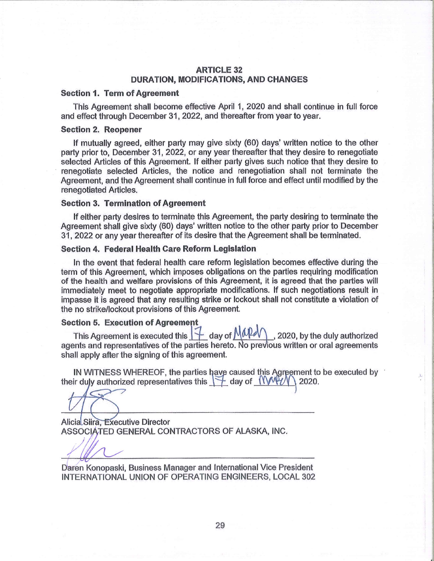## **ARTICLE 32 DURATION, MODIFICATIONS, AND CHANGES**

#### **Section 1. Term of Agreement**

This Agreement shall become effective April 1, 2020 and shall continue in full force and effect through December 31, 2022, and thereafter from year to year.

#### **Section 2. Reopener**

If mutually agreed, either party may give sixty (60) days' written notice to the other party prior to, December 31, 2022, or any year thereafter that they desire to renegotiate selected Articles of this Agreement. If either party gives such notice that they desire to renegotiate selected Articles, the notice and renegotiation shall not terminate the Agreement, and the Agreement shall continue in full force and effect until modified by the renegotiated Articles.

#### **Section 3. Termination of Agreement**

If either party desires to terminate this Agreement, the party desiring to terminate the Agreement shall give sixty (60) days' written notice to the other party prior to December 31, 2022 or any year thereafter of its desire that the Agreement shall be terminated.

#### Section 4. Federal Health Care Reform Legislation

In the event that federal health care reform legislation becomes effective during the term of this Agreement, which imposes obligations on the parties requiring modification of the health and welfare provisions of this Agreement, it is agreed that the parties will immediately meet to negotiate appropriate modifications. If such negotiations result in impasse it is agreed that any resulting strike or lockout shall not constitute a violation of the no strike/lockout provisions of this Agreement.

#### **Section 5. Execution of Agreement**

This Agreement is executed this  $\boxed{\frac{1}{2}}$  day of  $\boxed{\text{MPd}}$ , 2020, by the duly authorized agents and representatives of the parties hereto. No previous written or oral agreements shall apply after the signing of this agreement.

IN WITNESS WHEREOF, the parties have caused this Agreement to be executed by their duly authorized representatives this  $\forall$  day of  $\mathbb{N}\mathbb{N}\mathbb{N}$ 2020.

Alicia Siira, Executive Director ASSOCIATED GENERAL CONTRACTORS OF ALASKA, INC.

Daren Konopaski, Business Manager and International Vice President INTERNATIONAL UNION OF OPERATING ENGINEERS, LOCAL 302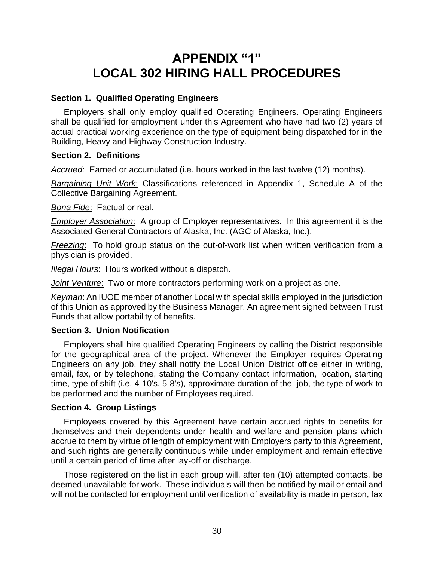## **APPENDIX "1" LOCAL 302 HIRING HALL PROCEDURES**

## **Section 1. Qualified Operating Engineers**

Employers shall only employ qualified Operating Engineers. Operating Engineers shall be qualified for employment under this Agreement who have had two (2) years of actual practical working experience on the type of equipment being dispatched for in the Building, Heavy and Highway Construction Industry.

## **Section 2. Definitions**

*Accrued:* Earned or accumulated (i.e. hours worked in the last twelve (12) months).

*Bargaining Unit Work*: Classifications referenced in Appendix 1, Schedule A of the Collective Bargaining Agreement.

*Bona Fide*: Factual or real.

*Employer Association*: A group of Employer representatives. In this agreement it is the Associated General Contractors of Alaska, Inc. (AGC of Alaska, Inc.).

*Freezing*: To hold group status on the out-of-work list when written verification from a physician is provided.

*Illegal Hours*: Hours worked without a dispatch.

*Joint Venture*: Two or more contractors performing work on a project as one.

*Keyman*: An IUOE member of another Local with special skills employed in the jurisdiction of this Union as approved by the Business Manager. An agreement signed between Trust Funds that allow portability of benefits.

## **Section 3. Union Notification**

Employers shall hire qualified Operating Engineers by calling the District responsible for the geographical area of the project. Whenever the Employer requires Operating Engineers on any job, they shall notify the Local Union District office either in writing, email, fax, or by telephone, stating the Company contact information, location, starting time, type of shift (i.e. 4-10's, 5-8's), approximate duration of the job, the type of work to be performed and the number of Employees required.

## **Section 4. Group Listings**

Employees covered by this Agreement have certain accrued rights to benefits for themselves and their dependents under health and welfare and pension plans which accrue to them by virtue of length of employment with Employers party to this Agreement, and such rights are generally continuous while under employment and remain effective until a certain period of time after lay-off or discharge.

Those registered on the list in each group will, after ten (10) attempted contacts, be deemed unavailable for work. These individuals will then be notified by mail or email and will not be contacted for employment until verification of availability is made in person, fax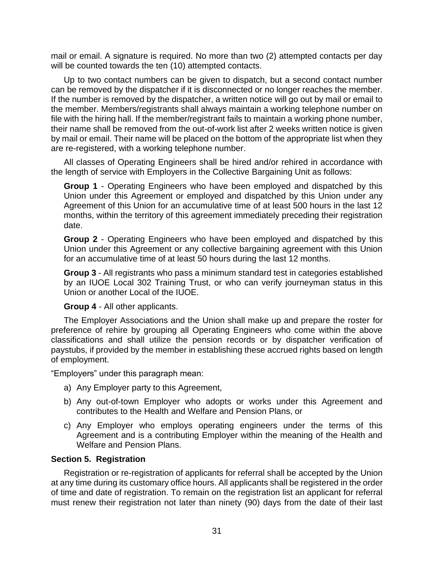mail or email. A signature is required. No more than two (2) attempted contacts per day will be counted towards the ten (10) attempted contacts.

Up to two contact numbers can be given to dispatch, but a second contact number can be removed by the dispatcher if it is disconnected or no longer reaches the member. If the number is removed by the dispatcher, a written notice will go out by mail or email to the member. Members/registrants shall always maintain a working telephone number on file with the hiring hall. If the member/registrant fails to maintain a working phone number, their name shall be removed from the out-of-work list after 2 weeks written notice is given by mail or email. Their name will be placed on the bottom of the appropriate list when they are re-registered, with a working telephone number.

All classes of Operating Engineers shall be hired and/or rehired in accordance with the length of service with Employers in the Collective Bargaining Unit as follows:

**Group 1** - Operating Engineers who have been employed and dispatched by this Union under this Agreement or employed and dispatched by this Union under any Agreement of this Union for an accumulative time of at least 500 hours in the last 12 months, within the territory of this agreement immediately preceding their registration date.

**Group 2** - Operating Engineers who have been employed and dispatched by this Union under this Agreement or any collective bargaining agreement with this Union for an accumulative time of at least 50 hours during the last 12 months.

**Group 3** - All registrants who pass a minimum standard test in categories established by an IUOE Local 302 Training Trust, or who can verify journeyman status in this Union or another Local of the IUOE.

## **Group 4** - All other applicants.

The Employer Associations and the Union shall make up and prepare the roster for preference of rehire by grouping all Operating Engineers who come within the above classifications and shall utilize the pension records or by dispatcher verification of paystubs, if provided by the member in establishing these accrued rights based on length of employment.

"Employers" under this paragraph mean:

- a) Any Employer party to this Agreement,
- b) Any out-of-town Employer who adopts or works under this Agreement and contributes to the Health and Welfare and Pension Plans, or
- c) Any Employer who employs operating engineers under the terms of this Agreement and is a contributing Employer within the meaning of the Health and Welfare and Pension Plans.

## **Section 5. Registration**

Registration or re-registration of applicants for referral shall be accepted by the Union at any time during its customary office hours. All applicants shall be registered in the order of time and date of registration. To remain on the registration list an applicant for referral must renew their registration not later than ninety (90) days from the date of their last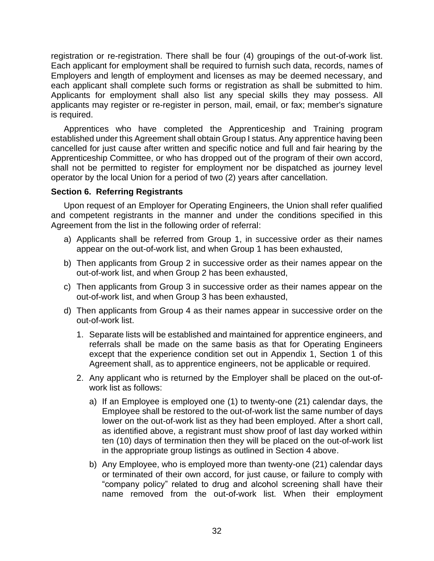registration or re-registration. There shall be four (4) groupings of the out-of-work list. Each applicant for employment shall be required to furnish such data, records, names of Employers and length of employment and licenses as may be deemed necessary, and each applicant shall complete such forms or registration as shall be submitted to him. Applicants for employment shall also list any special skills they may possess. All applicants may register or re-register in person, mail, email, or fax; member's signature is required.

Apprentices who have completed the Apprenticeship and Training program established under this Agreement shall obtain Group I status. Any apprentice having been cancelled for just cause after written and specific notice and full and fair hearing by the Apprenticeship Committee, or who has dropped out of the program of their own accord, shall not be permitted to register for employment nor be dispatched as journey level operator by the local Union for a period of two (2) years after cancellation.

## **Section 6. Referring Registrants**

Upon request of an Employer for Operating Engineers, the Union shall refer qualified and competent registrants in the manner and under the conditions specified in this Agreement from the list in the following order of referral:

- a) Applicants shall be referred from Group 1, in successive order as their names appear on the out-of-work list, and when Group 1 has been exhausted,
- b) Then applicants from Group 2 in successive order as their names appear on the out-of-work list, and when Group 2 has been exhausted,
- c) Then applicants from Group 3 in successive order as their names appear on the out-of-work list, and when Group 3 has been exhausted,
- d) Then applicants from Group 4 as their names appear in successive order on the out-of-work list.
	- 1. Separate lists will be established and maintained for apprentice engineers, and referrals shall be made on the same basis as that for Operating Engineers except that the experience condition set out in Appendix 1, Section 1 of this Agreement shall, as to apprentice engineers, not be applicable or required.
	- 2. Any applicant who is returned by the Employer shall be placed on the out-ofwork list as follows:
		- a) If an Employee is employed one (1) to twenty-one (21) calendar days, the Employee shall be restored to the out-of-work list the same number of days lower on the out-of-work list as they had been employed. After a short call, as identified above, a registrant must show proof of last day worked within ten (10) days of termination then they will be placed on the out-of-work list in the appropriate group listings as outlined in Section 4 above.
		- b) Any Employee, who is employed more than twenty-one (21) calendar days or terminated of their own accord, for just cause, or failure to comply with "company policy" related to drug and alcohol screening shall have their name removed from the out-of-work list. When their employment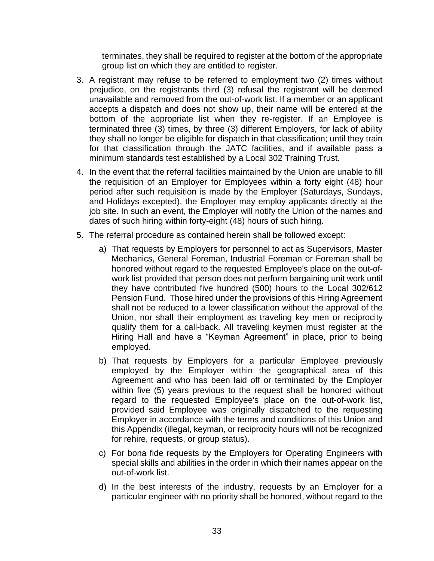terminates, they shall be required to register at the bottom of the appropriate group list on which they are entitled to register.

- 3. A registrant may refuse to be referred to employment two (2) times without prejudice, on the registrants third (3) refusal the registrant will be deemed unavailable and removed from the out-of-work list. If a member or an applicant accepts a dispatch and does not show up, their name will be entered at the bottom of the appropriate list when they re-register. If an Employee is terminated three (3) times, by three (3) different Employers, for lack of ability they shall no longer be eligible for dispatch in that classification; until they train for that classification through the JATC facilities, and if available pass a minimum standards test established by a Local 302 Training Trust.
- 4. In the event that the referral facilities maintained by the Union are unable to fill the requisition of an Employer for Employees within a forty eight (48) hour period after such requisition is made by the Employer (Saturdays, Sundays, and Holidays excepted), the Employer may employ applicants directly at the job site. In such an event, the Employer will notify the Union of the names and dates of such hiring within forty-eight (48) hours of such hiring.
- 5. The referral procedure as contained herein shall be followed except:
	- a) That requests by Employers for personnel to act as Supervisors, Master Mechanics, General Foreman, Industrial Foreman or Foreman shall be honored without regard to the requested Employee's place on the out-ofwork list provided that person does not perform bargaining unit work until they have contributed five hundred (500) hours to the Local 302/612 Pension Fund. Those hired under the provisions of this Hiring Agreement shall not be reduced to a lower classification without the approval of the Union, nor shall their employment as traveling key men or reciprocity qualify them for a call-back. All traveling keymen must register at the Hiring Hall and have a "Keyman Agreement" in place, prior to being employed.
	- b) That requests by Employers for a particular Employee previously employed by the Employer within the geographical area of this Agreement and who has been laid off or terminated by the Employer within five (5) years previous to the request shall be honored without regard to the requested Employee's place on the out-of-work list, provided said Employee was originally dispatched to the requesting Employer in accordance with the terms and conditions of this Union and this Appendix (illegal, keyman, or reciprocity hours will not be recognized for rehire, requests, or group status).
	- c) For bona fide requests by the Employers for Operating Engineers with special skills and abilities in the order in which their names appear on the out-of-work list.
	- d) In the best interests of the industry, requests by an Employer for a particular engineer with no priority shall be honored, without regard to the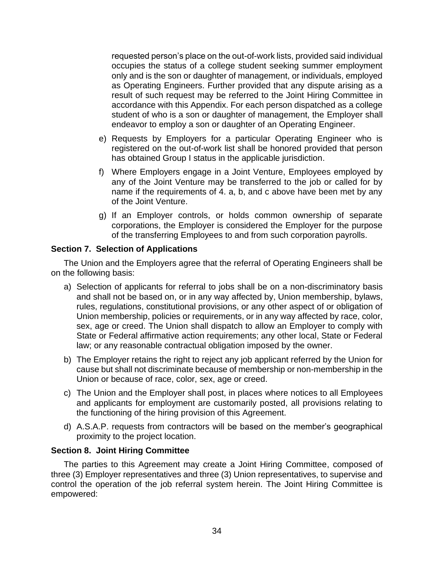requested person's place on the out-of-work lists, provided said individual occupies the status of a college student seeking summer employment only and is the son or daughter of management, or individuals, employed as Operating Engineers. Further provided that any dispute arising as a result of such request may be referred to the Joint Hiring Committee in accordance with this Appendix. For each person dispatched as a college student of who is a son or daughter of management, the Employer shall endeavor to employ a son or daughter of an Operating Engineer.

- e) Requests by Employers for a particular Operating Engineer who is registered on the out-of-work list shall be honored provided that person has obtained Group I status in the applicable jurisdiction.
- f) Where Employers engage in a Joint Venture, Employees employed by any of the Joint Venture may be transferred to the job or called for by name if the requirements of 4. a, b, and c above have been met by any of the Joint Venture.
- g) If an Employer controls, or holds common ownership of separate corporations, the Employer is considered the Employer for the purpose of the transferring Employees to and from such corporation payrolls.

## **Section 7. Selection of Applications**

The Union and the Employers agree that the referral of Operating Engineers shall be on the following basis:

- a) Selection of applicants for referral to jobs shall be on a non-discriminatory basis and shall not be based on, or in any way affected by, Union membership, bylaws, rules, regulations, constitutional provisions, or any other aspect of or obligation of Union membership, policies or requirements, or in any way affected by race, color, sex, age or creed. The Union shall dispatch to allow an Employer to comply with State or Federal affirmative action requirements; any other local, State or Federal law; or any reasonable contractual obligation imposed by the owner.
- b) The Employer retains the right to reject any job applicant referred by the Union for cause but shall not discriminate because of membership or non-membership in the Union or because of race, color, sex, age or creed.
- c) The Union and the Employer shall post, in places where notices to all Employees and applicants for employment are customarily posted, all provisions relating to the functioning of the hiring provision of this Agreement.
- d) A.S.A.P. requests from contractors will be based on the member's geographical proximity to the project location.

## **Section 8. Joint Hiring Committee**

The parties to this Agreement may create a Joint Hiring Committee, composed of three (3) Employer representatives and three (3) Union representatives, to supervise and control the operation of the job referral system herein. The Joint Hiring Committee is empowered: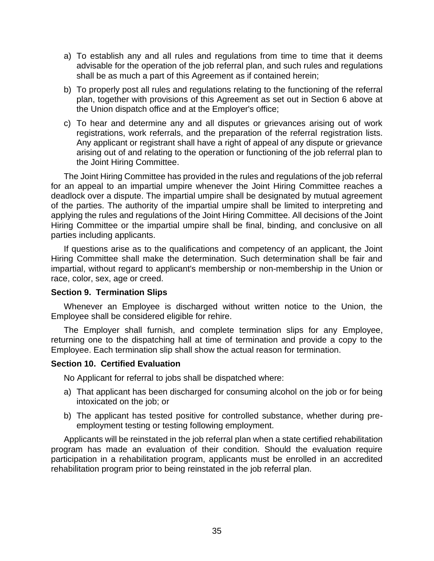- a) To establish any and all rules and regulations from time to time that it deems advisable for the operation of the job referral plan, and such rules and regulations shall be as much a part of this Agreement as if contained herein;
- b) To properly post all rules and regulations relating to the functioning of the referral plan, together with provisions of this Agreement as set out in Section 6 above at the Union dispatch office and at the Employer's office;
- c) To hear and determine any and all disputes or grievances arising out of work registrations, work referrals, and the preparation of the referral registration lists. Any applicant or registrant shall have a right of appeal of any dispute or grievance arising out of and relating to the operation or functioning of the job referral plan to the Joint Hiring Committee.

The Joint Hiring Committee has provided in the rules and regulations of the job referral for an appeal to an impartial umpire whenever the Joint Hiring Committee reaches a deadlock over a dispute. The impartial umpire shall be designated by mutual agreement of the parties. The authority of the impartial umpire shall be limited to interpreting and applying the rules and regulations of the Joint Hiring Committee. All decisions of the Joint Hiring Committee or the impartial umpire shall be final, binding, and conclusive on all parties including applicants.

If questions arise as to the qualifications and competency of an applicant, the Joint Hiring Committee shall make the determination. Such determination shall be fair and impartial, without regard to applicant's membership or non-membership in the Union or race, color, sex, age or creed.

## **Section 9. Termination Slips**

Whenever an Employee is discharged without written notice to the Union, the Employee shall be considered eligible for rehire.

The Employer shall furnish, and complete termination slips for any Employee, returning one to the dispatching hall at time of termination and provide a copy to the Employee. Each termination slip shall show the actual reason for termination.

## **Section 10. Certified Evaluation**

No Applicant for referral to jobs shall be dispatched where:

- a) That applicant has been discharged for consuming alcohol on the job or for being intoxicated on the job; or
- b) The applicant has tested positive for controlled substance, whether during preemployment testing or testing following employment.

Applicants will be reinstated in the job referral plan when a state certified rehabilitation program has made an evaluation of their condition. Should the evaluation require participation in a rehabilitation program, applicants must be enrolled in an accredited rehabilitation program prior to being reinstated in the job referral plan.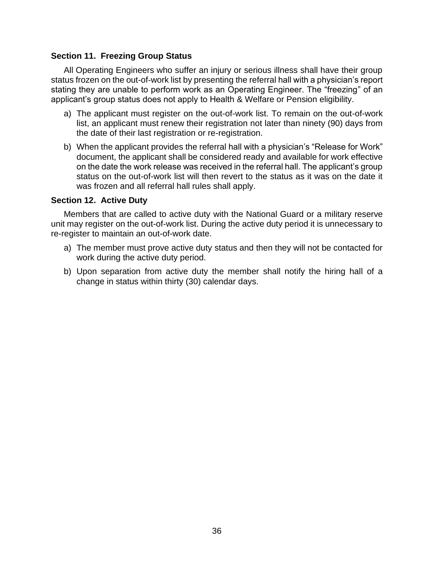## **Section 11. Freezing Group Status**

All Operating Engineers who suffer an injury or serious illness shall have their group status frozen on the out-of-work list by presenting the referral hall with a physician's report stating they are unable to perform work as an Operating Engineer. The "freezing" of an applicant's group status does not apply to Health & Welfare or Pension eligibility.

- a) The applicant must register on the out-of-work list. To remain on the out-of-work list, an applicant must renew their registration not later than ninety (90) days from the date of their last registration or re-registration.
- b) When the applicant provides the referral hall with a physician's "Release for Work" document, the applicant shall be considered ready and available for work effective on the date the work release was received in the referral hall. The applicant's group status on the out-of-work list will then revert to the status as it was on the date it was frozen and all referral hall rules shall apply.

#### **Section 12. Active Duty**

Members that are called to active duty with the National Guard or a military reserve unit may register on the out-of-work list. During the active duty period it is unnecessary to re-register to maintain an out-of-work date.

- a) The member must prove active duty status and then they will not be contacted for work during the active duty period.
- b) Upon separation from active duty the member shall notify the hiring hall of a change in status within thirty (30) calendar days.